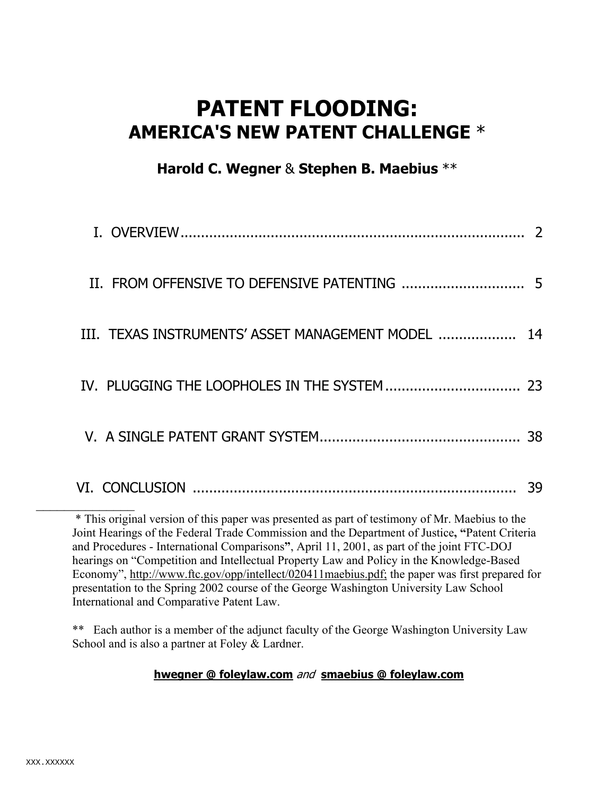# **PATENT FLOODING: AMERICA'S NEW PATENT CHALLENGE** \*

# **Harold C. Wegner** & **Stephen B. Maebius** \*\*

| III. TEXAS INSTRUMENTS' ASSET MANAGEMENT MODEL                                                                                                                                                                                                                                                                                                                                            | 14 |
|-------------------------------------------------------------------------------------------------------------------------------------------------------------------------------------------------------------------------------------------------------------------------------------------------------------------------------------------------------------------------------------------|----|
|                                                                                                                                                                                                                                                                                                                                                                                           |    |
|                                                                                                                                                                                                                                                                                                                                                                                           | 38 |
|                                                                                                                                                                                                                                                                                                                                                                                           | 39 |
| * This original version of this paper was presented as part of testimony of Mr. Maebius to the<br>Joint Hearings of the Federal Trade Commission and the Department of Justice, "Patent Criteria<br>and Procedures - International Comparisons", April 11, 2001, as part of the joint FTC-DOJ<br>hearings on "Competition and Intellectual Property Law and Policy in the Knowledge-Based |    |

and Procedures - International Comparisons**"**, April 11, 2001, as part of the joint FTC-DOJ hearings on "Competition and Intellectual Property Law and Policy in the Knowledge-Based Economy", http://www.ftc.gov/opp/intellect/020411maebius.pdf; the paper was first prepared for presentation to the Spring 2002 course of the George Washington University Law School International and Comparative Patent Law.

\*\* Each author is a member of the adjunct faculty of the George Washington University Law School and is also a partner at Foley & Lardner.

# **hwegner @ foleylaw.com** and **smaebius @ foleylaw.com**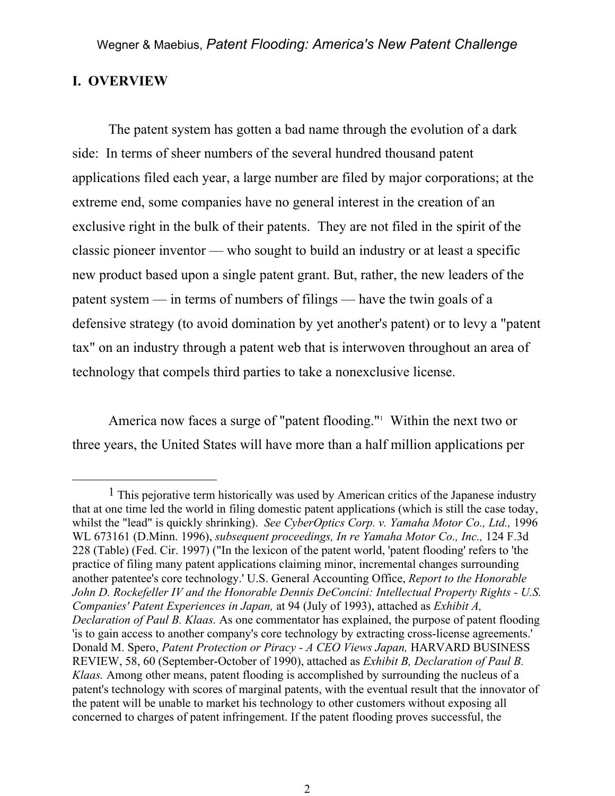# **I. OVERVIEW**

 $\overline{a}$ 

 The patent system has gotten a bad name through the evolution of a dark side: In terms of sheer numbers of the several hundred thousand patent applications filed each year, a large number are filed by major corporations; at the extreme end, some companies have no general interest in the creation of an exclusive right in the bulk of their patents. They are not filed in the spirit of the classic pioneer inventor — who sought to build an industry or at least a specific new product based upon a single patent grant. But, rather, the new leaders of the patent system — in terms of numbers of filings — have the twin goals of a defensive strategy (to avoid domination by yet another's patent) or to levy a "patent tax" on an industry through a patent web that is interwoven throughout an area of technology that compels third parties to take a nonexclusive license.

America now faces a surge of "patent flooding."<sup>1</sup> Within the next two or three years, the United States will have more than a half million applications per

<sup>&</sup>lt;sup>1</sup> This pejorative term historically was used by American critics of the Japanese industry that at one time led the world in filing domestic patent applications (which is still the case today, whilst the "lead" is quickly shrinking). *See CyberOptics Corp. v. Yamaha Motor Co., Ltd.,* 1996 WL 673161 (D.Minn. 1996), *subsequent proceedings, In re Yamaha Motor Co., Inc.,* 124 F.3d 228 (Table) (Fed. Cir. 1997) ("In the lexicon of the patent world, 'patent flooding' refers to 'the practice of filing many patent applications claiming minor, incremental changes surrounding another patentee's core technology.' U.S. General Accounting Office, *Report to the Honorable John D. Rockefeller IV and the Honorable Dennis DeConcini: Intellectual Property Rights - U.S. Companies' Patent Experiences in Japan,* at 94 (July of 1993), attached as *Exhibit A, Declaration of Paul B. Klaas.* As one commentator has explained, the purpose of patent flooding 'is to gain access to another company's core technology by extracting cross-license agreements.' Donald M. Spero, *Patent Protection or Piracy - A CEO Views Japan,* HARVARD BUSINESS REVIEW, 58, 60 (September-October of 1990), attached as *Exhibit B, Declaration of Paul B. Klaas.* Among other means, patent flooding is accomplished by surrounding the nucleus of a patent's technology with scores of marginal patents, with the eventual result that the innovator of the patent will be unable to market his technology to other customers without exposing all concerned to charges of patent infringement. If the patent flooding proves successful, the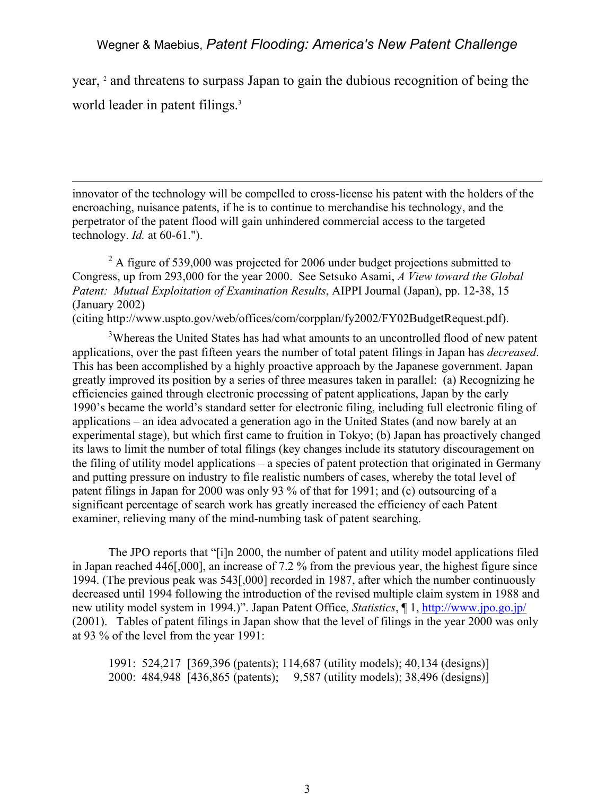year, <sup>2</sup> and threatens to surpass Japan to gain the dubious recognition of being the world leader in patent filings.<sup>3</sup>

innovator of the technology will be compelled to cross-license his patent with the holders of the encroaching, nuisance patents, if he is to continue to merchandise his technology, and the perpetrator of the patent flood will gain unhindered commercial access to the targeted technology. *Id.* at 60-61.").

 $\overline{a}$ 

 $2^2$  A figure of 539,000 was projected for 2006 under budget projections submitted to Congress, up from 293,000 for the year 2000. See Setsuko Asami, *A View toward the Global Patent: Mutual Exploitation of Examination Results*, AIPPI Journal (Japan), pp. 12-38, 15 (January 2002)

(citing http://www.uspto.gov/web/offices/com/corpplan/fy2002/FY02BudgetRequest.pdf).

<sup>3</sup>Whereas the United States has had what amounts to an uncontrolled flood of new patent applications, over the past fifteen years the number of total patent filings in Japan has *decreased*. This has been accomplished by a highly proactive approach by the Japanese government. Japan greatly improved its position by a series of three measures taken in parallel: (a) Recognizing he efficiencies gained through electronic processing of patent applications, Japan by the early 1990's became the world's standard setter for electronic filing, including full electronic filing of applications – an idea advocated a generation ago in the United States (and now barely at an experimental stage), but which first came to fruition in Tokyo; (b) Japan has proactively changed its laws to limit the number of total filings (key changes include its statutory discouragement on the filing of utility model applications – a species of patent protection that originated in Germany and putting pressure on industry to file realistic numbers of cases, whereby the total level of patent filings in Japan for 2000 was only 93 % of that for 1991; and (c) outsourcing of a significant percentage of search work has greatly increased the efficiency of each Patent examiner, relieving many of the mind-numbing task of patent searching.

The JPO reports that "[i]n 2000, the number of patent and utility model applications filed in Japan reached 446[,000], an increase of 7.2 % from the previous year, the highest figure since 1994. (The previous peak was 543[,000] recorded in 1987, after which the number continuously decreased until 1994 following the introduction of the revised multiple claim system in 1988 and new utility model system in 1994.)". Japan Patent Office, *Statistics*, ¶ 1, http://www.jpo.go.jp/ (2001). Tables of patent filings in Japan show that the level of filings in the year 2000 was only at 93 % of the level from the year 1991:

1991: 524,217 [369,396 (patents); 114,687 (utility models); 40,134 (designs)] 2000: 484,948 [436,865 (patents); 9,587 (utility models); 38,496 (designs)]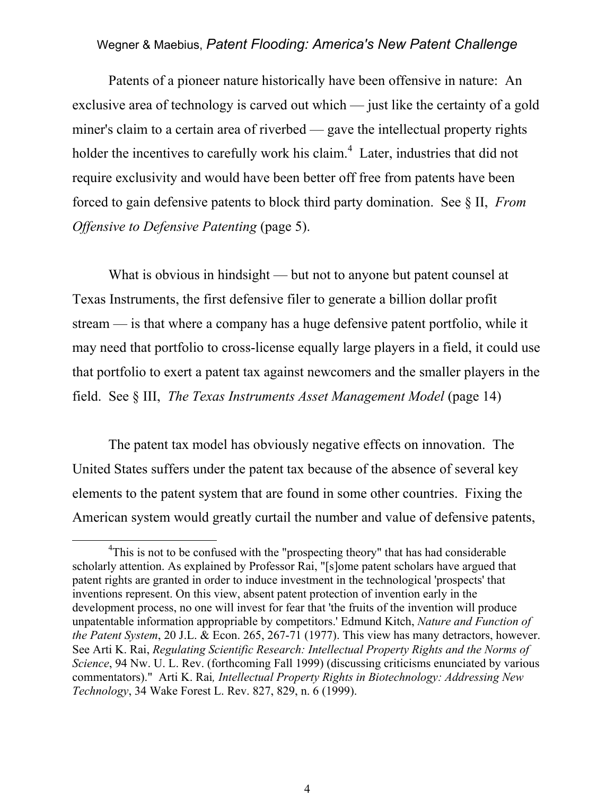Patents of a pioneer nature historically have been offensive in nature: An exclusive area of technology is carved out which — just like the certainty of a gold miner's claim to a certain area of riverbed — gave the intellectual property rights holder the incentives to carefully work his claim.<sup>4</sup> Later, industries that did not require exclusivity and would have been better off free from patents have been forced to gain defensive patents to block third party domination. See § II, *From Offensive to Defensive Patenting* (page 5).

 What is obvious in hindsight — but not to anyone but patent counsel at Texas Instruments, the first defensive filer to generate a billion dollar profit stream — is that where a company has a huge defensive patent portfolio, while it may need that portfolio to cross-license equally large players in a field, it could use that portfolio to exert a patent tax against newcomers and the smaller players in the field. See § III, *The Texas Instruments Asset Management Model* (page 14)

 The patent tax model has obviously negative effects on innovation. The United States suffers under the patent tax because of the absence of several key elements to the patent system that are found in some other countries. Fixing the American system would greatly curtail the number and value of defensive patents,

 $\overline{a}$ 

<sup>4</sup> <sup>4</sup>This is not to be confused with the "prospecting theory" that has had considerable scholarly attention. As explained by Professor Rai, "[s]ome patent scholars have argued that patent rights are granted in order to induce investment in the technological 'prospects' that inventions represent. On this view, absent patent protection of invention early in the development process, no one will invest for fear that 'the fruits of the invention will produce unpatentable information appropriable by competitors.' Edmund Kitch, *Nature and Function of the Patent System*, 20 J.L. & Econ. 265, 267-71 (1977). This view has many detractors, however. See Arti K. Rai, *Regulating Scientific Research: Intellectual Property Rights and the Norms of Science*, 94 Nw. U. L. Rev. (forthcoming Fall 1999) (discussing criticisms enunciated by various commentators)." Arti K. Rai*, Intellectual Property Rights in Biotechnology: Addressing New Technology*, 34 Wake Forest L. Rev. 827, 829, n. 6 (1999).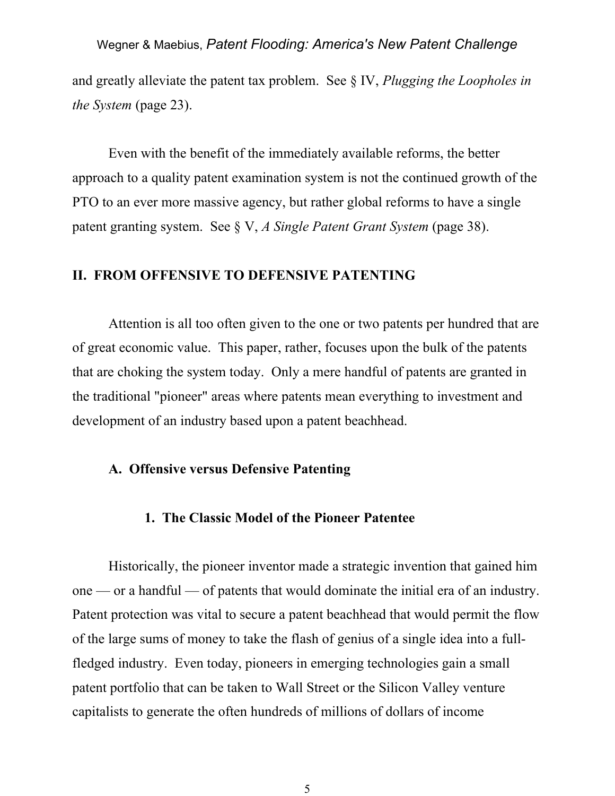and greatly alleviate the patent tax problem. See § IV, *Plugging the Loopholes in the System* (page 23).

 Even with the benefit of the immediately available reforms, the better approach to a quality patent examination system is not the continued growth of the PTO to an ever more massive agency, but rather global reforms to have a single patent granting system. See § V, *A Single Patent Grant System* (page 38).

#### **II. FROM OFFENSIVE TO DEFENSIVE PATENTING**

Attention is all too often given to the one or two patents per hundred that are of great economic value. This paper, rather, focuses upon the bulk of the patents that are choking the system today. Only a mere handful of patents are granted in the traditional "pioneer" areas where patents mean everything to investment and development of an industry based upon a patent beachhead.

#### **A. Offensive versus Defensive Patenting**

#### **1. The Classic Model of the Pioneer Patentee**

 Historically, the pioneer inventor made a strategic invention that gained him one — or a handful — of patents that would dominate the initial era of an industry. Patent protection was vital to secure a patent beachhead that would permit the flow of the large sums of money to take the flash of genius of a single idea into a fullfledged industry. Even today, pioneers in emerging technologies gain a small patent portfolio that can be taken to Wall Street or the Silicon Valley venture capitalists to generate the often hundreds of millions of dollars of income

5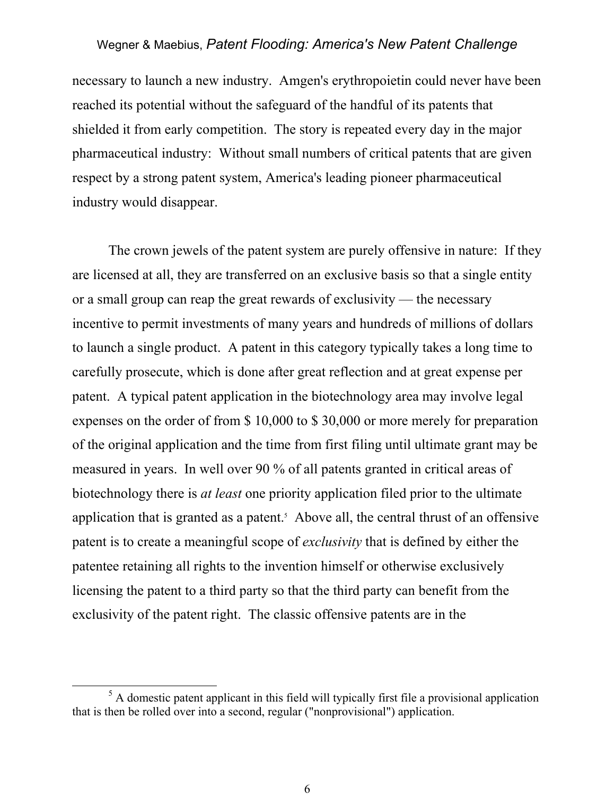necessary to launch a new industry. Amgen's erythropoietin could never have been reached its potential without the safeguard of the handful of its patents that shielded it from early competition. The story is repeated every day in the major pharmaceutical industry: Without small numbers of critical patents that are given respect by a strong patent system, America's leading pioneer pharmaceutical industry would disappear.

 The crown jewels of the patent system are purely offensive in nature: If they are licensed at all, they are transferred on an exclusive basis so that a single entity or a small group can reap the great rewards of exclusivity — the necessary incentive to permit investments of many years and hundreds of millions of dollars to launch a single product. A patent in this category typically takes a long time to carefully prosecute, which is done after great reflection and at great expense per patent. A typical patent application in the biotechnology area may involve legal expenses on the order of from \$ 10,000 to \$ 30,000 or more merely for preparation of the original application and the time from first filing until ultimate grant may be measured in years. In well over 90 % of all patents granted in critical areas of biotechnology there is *at least* one priority application filed prior to the ultimate application that is granted as a patent.<sup>5</sup> Above all, the central thrust of an offensive patent is to create a meaningful scope of *exclusivity* that is defined by either the patentee retaining all rights to the invention himself or otherwise exclusively licensing the patent to a third party so that the third party can benefit from the exclusivity of the patent right. The classic offensive patents are in the

6

 $\frac{1}{5}$  $<sup>5</sup>$  A domestic patent applicant in this field will typically first file a provisional application</sup> that is then be rolled over into a second, regular ("nonprovisional") application.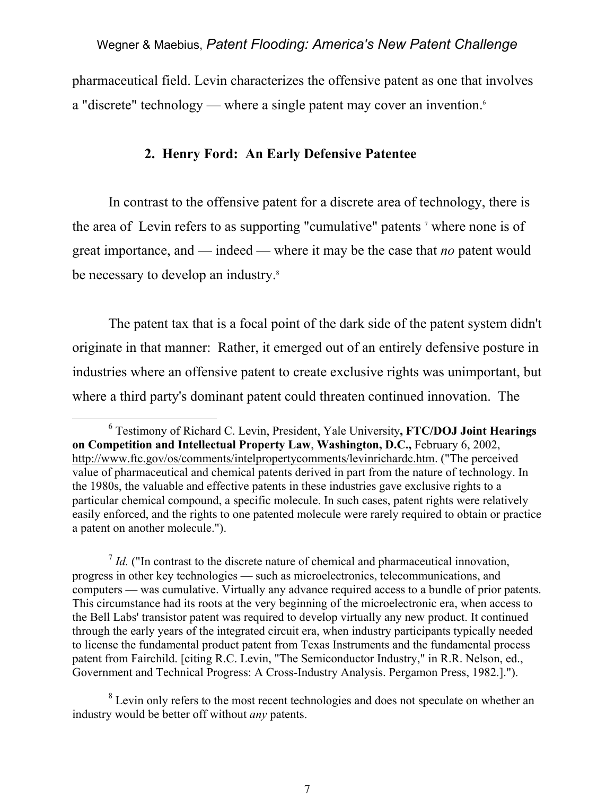pharmaceutical field. Levin characterizes the offensive patent as one that involves a "discrete" technology — where a single patent may cover an invention.<sup>6</sup>

## **2. Henry Ford: An Early Defensive Patentee**

In contrast to the offensive patent for a discrete area of technology, there is the area of Levin refers to as supporting "cumulative" patents  $\tau$  where none is of great importance, and — indeed — where it may be the case that *no* patent would be necessary to develop an industry.<sup>8</sup>

 The patent tax that is a focal point of the dark side of the patent system didn't originate in that manner: Rather, it emerged out of an entirely defensive posture in industries where an offensive patent to create exclusive rights was unimportant, but where a third party's dominant patent could threaten continued innovation. The

 <sup>6</sup> Testimony of Richard C. Levin, President, Yale University**, FTC/DOJ Joint Hearings on Competition and Intellectual Property Law**, **Washington, D.C.,** February 6, 2002, http://www.ftc.gov/os/comments/intelpropertycomments/levinrichardc.htm. ("The perceived value of pharmaceutical and chemical patents derived in part from the nature of technology. In the 1980s, the valuable and effective patents in these industries gave exclusive rights to a particular chemical compound, a specific molecule. In such cases, patent rights were relatively easily enforced, and the rights to one patented molecule were rarely required to obtain or practice a patent on another molecule.").

 $\frac{7}{1}$  *Id.* ("In contrast to the discrete nature of chemical and pharmaceutical innovation, progress in other key technologies — such as microelectronics, telecommunications, and computers — was cumulative. Virtually any advance required access to a bundle of prior patents. This circumstance had its roots at the very beginning of the microelectronic era, when access to the Bell Labs' transistor patent was required to develop virtually any new product. It continued through the early years of the integrated circuit era, when industry participants typically needed to license the fundamental product patent from Texas Instruments and the fundamental process patent from Fairchild. [citing R.C. Levin, "The Semiconductor Industry," in R.R. Nelson, ed., Government and Technical Progress: A Cross-Industry Analysis. Pergamon Press, 1982.].").

 $8$  Levin only refers to the most recent technologies and does not speculate on whether an industry would be better off without *any* patents.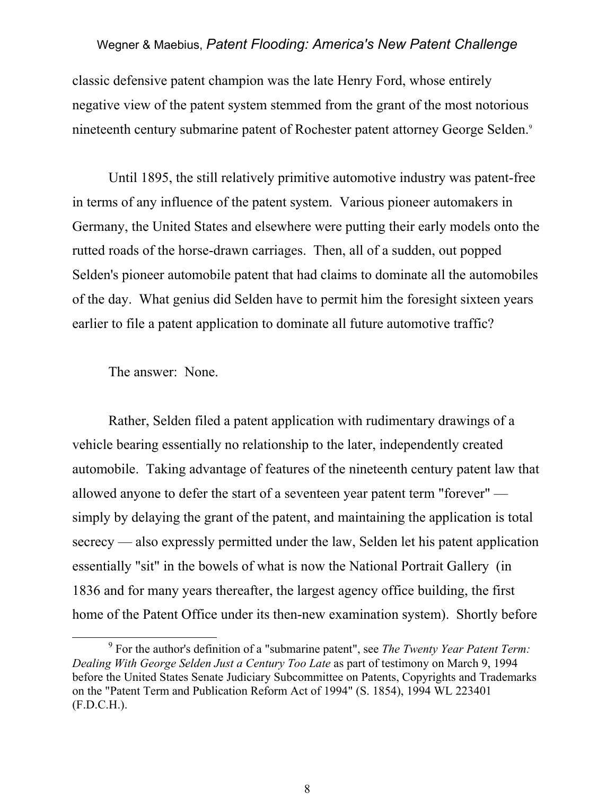classic defensive patent champion was the late Henry Ford, whose entirely negative view of the patent system stemmed from the grant of the most notorious nineteenth century submarine patent of Rochester patent attorney George Selden.9

 Until 1895, the still relatively primitive automotive industry was patent-free in terms of any influence of the patent system. Various pioneer automakers in Germany, the United States and elsewhere were putting their early models onto the rutted roads of the horse-drawn carriages. Then, all of a sudden, out popped Selden's pioneer automobile patent that had claims to dominate all the automobiles of the day. What genius did Selden have to permit him the foresight sixteen years earlier to file a patent application to dominate all future automotive traffic?

The answer: None.

Rather, Selden filed a patent application with rudimentary drawings of a vehicle bearing essentially no relationship to the later, independently created automobile. Taking advantage of features of the nineteenth century patent law that allowed anyone to defer the start of a seventeen year patent term "forever" simply by delaying the grant of the patent, and maintaining the application is total secrecy — also expressly permitted under the law, Selden let his patent application essentially "sit" in the bowels of what is now the National Portrait Gallery (in 1836 and for many years thereafter, the largest agency office building, the first home of the Patent Office under its then-new examination system). Shortly before

 <sup>9</sup> For the author's definition of a "submarine patent", see *The Twenty Year Patent Term: Dealing With George Selden Just a Century Too Late* as part of testimony on March 9, 1994 before the United States Senate Judiciary Subcommittee on Patents, Copyrights and Trademarks on the "Patent Term and Publication Reform Act of 1994" (S. 1854), 1994 WL 223401 (F.D.C.H.).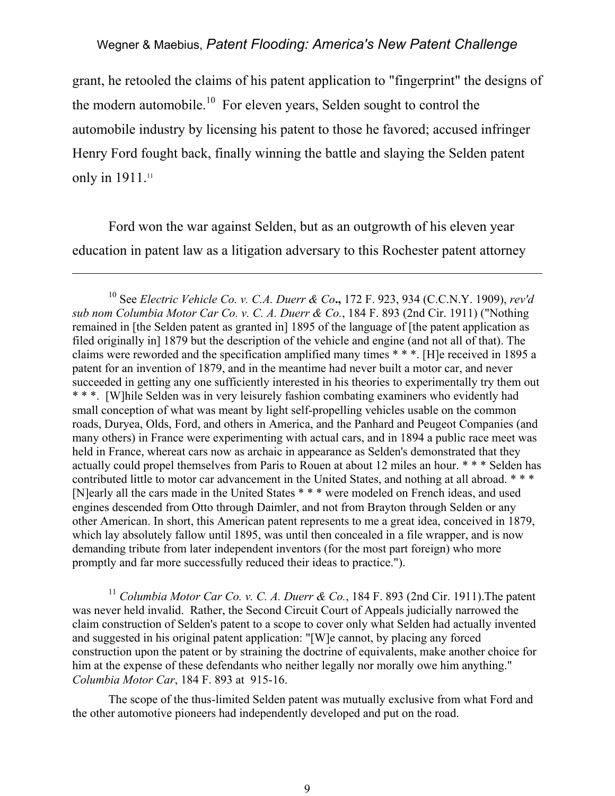grant, he retooled the claims of his patent application to "fingerprint" the designs of the modern automobile.<sup>10</sup> For eleven years, Selden sought to control the automobile industry by licensing his patent to those he favored; accused infringer Henry Ford fought back, finally winning the battle and slaying the Selden patent only in 1911.<sup>11</sup>

 Ford won the war against Selden, but as an outgrowth of his eleven year education in patent law as a litigation adversary to this Rochester patent attorney

 $\overline{a}$ 

10 See *Electric Vehicle Co. v. C.A. Duerr & Co***.,** 172 F. 923, 934 (C.C.N.Y. 1909), *rev'd sub nom Columbia Motor Car Co. v. C. A. Duerr & Co.*, 184 F. 893 (2nd Cir. 1911) ("Nothing remained in [the Selden patent as granted in] 1895 of the language of [the patent application as filed originally in] 1879 but the description of the vehicle and engine (and not all of that). The claims were reworded and the specification amplified many times \* \* \*. [H]e received in 1895 a patent for an invention of 1879, and in the meantime had never built a motor car, and never succeeded in getting any one sufficiently interested in his theories to experimentally try them out \* \* \*. [W]hile Selden was in very leisurely fashion combating examiners who evidently had small conception of what was meant by light self-propelling vehicles usable on the common roads, Duryea, Olds, Ford, and others in America, and the Panhard and Peugeot Companies (and many others) in France were experimenting with actual cars, and in 1894 a public race meet was held in France, whereat cars now as archaic in appearance as Selden's demonstrated that they actually could propel themselves from Paris to Rouen at about 12 miles an hour. \* \* \* Selden has contributed little to motor car advancement in the United States, and nothing at all abroad. \* \* \* [N]early all the cars made in the United States \* \* \* were modeled on French ideas, and used engines descended from Otto through Daimler, and not from Brayton through Selden or any other American. In short, this American patent represents to me a great idea, conceived in 1879, which lay absolutely fallow until 1895, was until then concealed in a file wrapper, and is now demanding tribute from later independent inventors (for the most part foreign) who more promptly and far more successfully reduced their ideas to practice.").

<sup>11</sup> *Columbia Motor Car Co. v. C. A. Duerr & Co.*, 184 F. 893 (2nd Cir. 1911).The patent was never held invalid. Rather, the Second Circuit Court of Appeals judicially narrowed the claim construction of Selden's patent to a scope to cover only what Selden had actually invented and suggested in his original patent application: "[W]e cannot, by placing any forced construction upon the patent or by straining the doctrine of equivalents, make another choice for him at the expense of these defendants who neither legally nor morally owe him anything." *Columbia Motor Car*, 184 F. 893 at 915-16.

The scope of the thus-limited Selden patent was mutually exclusive from what Ford and the other automotive pioneers had independently developed and put on the road.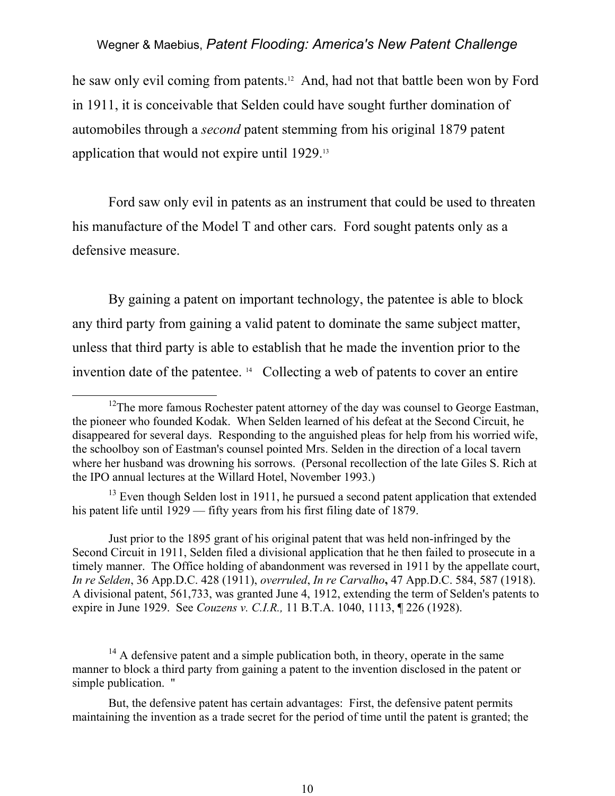he saw only evil coming from patents.<sup>12</sup> And, had not that battle been won by Ford in 1911, it is conceivable that Selden could have sought further domination of automobiles through a *second* patent stemming from his original 1879 patent application that would not expire until 1929.13

 Ford saw only evil in patents as an instrument that could be used to threaten his manufacture of the Model T and other cars. Ford sought patents only as a defensive measure.

By gaining a patent on important technology, the patentee is able to block any third party from gaining a valid patent to dominate the same subject matter, unless that third party is able to establish that he made the invention prior to the invention date of the patentee. 14 Collecting a web of patents to cover an entire

 $13$  Even though Selden lost in 1911, he pursued a second patent application that extended his patent life until 1929 — fifty years from his first filing date of 1879.

Just prior to the 1895 grant of his original patent that was held non-infringed by the Second Circuit in 1911, Selden filed a divisional application that he then failed to prosecute in a timely manner. The Office holding of abandonment was reversed in 1911 by the appellate court, *In re Selden*, 36 App.D.C. 428 (1911), *overruled*, *In re Carvalho***,** 47 App.D.C. 584, 587 (1918). A divisional patent, 561,733, was granted June 4, 1912, extending the term of Selden's patents to expire in June 1929. See *Couzens v. C.I.R.,* 11 B.T.A. 1040, 1113, ¶ 226 (1928).

 $14$  A defensive patent and a simple publication both, in theory, operate in the same manner to block a third party from gaining a patent to the invention disclosed in the patent or simple publication. ''

But, the defensive patent has certain advantages: First, the defensive patent permits maintaining the invention as a trade secret for the period of time until the patent is granted; the

 $12$ The more famous Rochester patent attorney of the day was counsel to George Eastman, the pioneer who founded Kodak. When Selden learned of his defeat at the Second Circuit, he disappeared for several days. Responding to the anguished pleas for help from his worried wife, the schoolboy son of Eastman's counsel pointed Mrs. Selden in the direction of a local tavern where her husband was drowning his sorrows. (Personal recollection of the late Giles S. Rich at the IPO annual lectures at the Willard Hotel, November 1993.)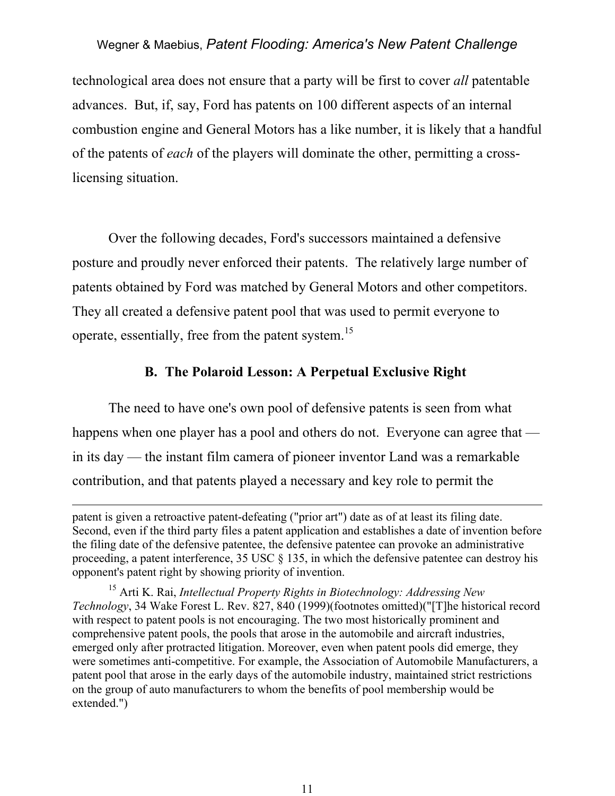technological area does not ensure that a party will be first to cover *all* patentable advances. But, if, say, Ford has patents on 100 different aspects of an internal combustion engine and General Motors has a like number, it is likely that a handful of the patents of *each* of the players will dominate the other, permitting a crosslicensing situation.

Over the following decades, Ford's successors maintained a defensive posture and proudly never enforced their patents. The relatively large number of patents obtained by Ford was matched by General Motors and other competitors. They all created a defensive patent pool that was used to permit everyone to operate, essentially, free from the patent system.<sup>15</sup>

# **B. The Polaroid Lesson: A Perpetual Exclusive Right**

The need to have one's own pool of defensive patents is seen from what happens when one player has a pool and others do not. Everyone can agree that in its day — the instant film camera of pioneer inventor Land was a remarkable contribution, and that patents played a necessary and key role to permit the

 $\overline{a}$ 

patent is given a retroactive patent-defeating ("prior art") date as of at least its filing date. Second, even if the third party files a patent application and establishes a date of invention before the filing date of the defensive patentee, the defensive patentee can provoke an administrative proceeding, a patent interference, 35 USC § 135, in which the defensive patentee can destroy his opponent's patent right by showing priority of invention.

<sup>15</sup> Arti K. Rai, *Intellectual Property Rights in Biotechnology: Addressing New Technology*, 34 Wake Forest L. Rev. 827, 840 (1999)(footnotes omitted)("[T]he historical record with respect to patent pools is not encouraging. The two most historically prominent and comprehensive patent pools, the pools that arose in the automobile and aircraft industries, emerged only after protracted litigation. Moreover, even when patent pools did emerge, they were sometimes anti-competitive. For example, the Association of Automobile Manufacturers, a patent pool that arose in the early days of the automobile industry, maintained strict restrictions on the group of auto manufacturers to whom the benefits of pool membership would be extended.")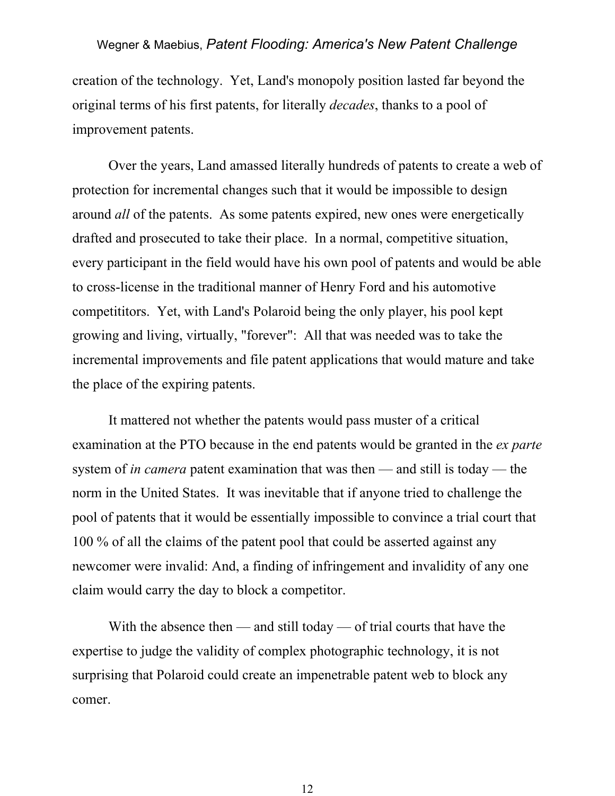creation of the technology. Yet, Land's monopoly position lasted far beyond the original terms of his first patents, for literally *decades*, thanks to a pool of improvement patents.

 Over the years, Land amassed literally hundreds of patents to create a web of protection for incremental changes such that it would be impossible to design around *all* of the patents. As some patents expired, new ones were energetically drafted and prosecuted to take their place. In a normal, competitive situation, every participant in the field would have his own pool of patents and would be able to cross-license in the traditional manner of Henry Ford and his automotive competititors. Yet, with Land's Polaroid being the only player, his pool kept growing and living, virtually, "forever": All that was needed was to take the incremental improvements and file patent applications that would mature and take the place of the expiring patents.

 It mattered not whether the patents would pass muster of a critical examination at the PTO because in the end patents would be granted in the *ex parte* system of *in camera* patent examination that was then — and still is today — the norm in the United States. It was inevitable that if anyone tried to challenge the pool of patents that it would be essentially impossible to convince a trial court that 100 % of all the claims of the patent pool that could be asserted against any newcomer were invalid: And, a finding of infringement and invalidity of any one claim would carry the day to block a competitor.

 With the absence then — and still today — of trial courts that have the expertise to judge the validity of complex photographic technology, it is not surprising that Polaroid could create an impenetrable patent web to block any comer.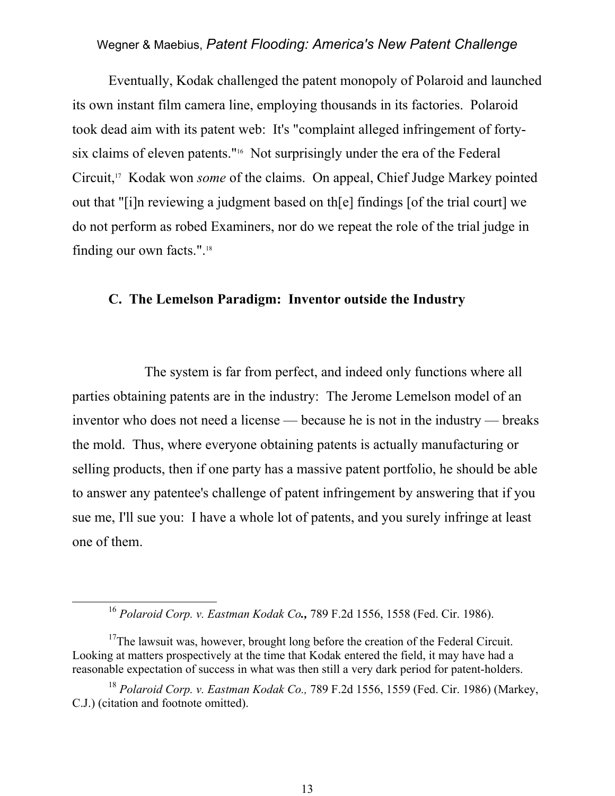Eventually, Kodak challenged the patent monopoly of Polaroid and launched its own instant film camera line, employing thousands in its factories. Polaroid took dead aim with its patent web: It's "complaint alleged infringement of fortysix claims of eleven patents."16 Not surprisingly under the era of the Federal Circuit,17 Kodak won *some* of the claims. On appeal, Chief Judge Markey pointed out that "[i]n reviewing a judgment based on th[e] findings [of the trial court] we do not perform as robed Examiners, nor do we repeat the role of the trial judge in finding our own facts.".18

#### **C. The Lemelson Paradigm: Inventor outside the Industry**

The system is far from perfect, and indeed only functions where all parties obtaining patents are in the industry: The Jerome Lemelson model of an inventor who does not need a license — because he is not in the industry — breaks the mold. Thus, where everyone obtaining patents is actually manufacturing or selling products, then if one party has a massive patent portfolio, he should be able to answer any patentee's challenge of patent infringement by answering that if you sue me, I'll sue you: I have a whole lot of patents, and you surely infringe at least one of them.

 <sup>16</sup> *Polaroid Corp. v. Eastman Kodak Co.,* 789 F.2d 1556, 1558 (Fed. Cir. 1986).

<sup>&</sup>lt;sup>17</sup>The lawsuit was, however, brought long before the creation of the Federal Circuit. Looking at matters prospectively at the time that Kodak entered the field, it may have had a reasonable expectation of success in what was then still a very dark period for patent-holders.

<sup>18</sup> *Polaroid Corp. v. Eastman Kodak Co.,* 789 F.2d 1556, 1559 (Fed. Cir. 1986) (Markey, C.J.) (citation and footnote omitted).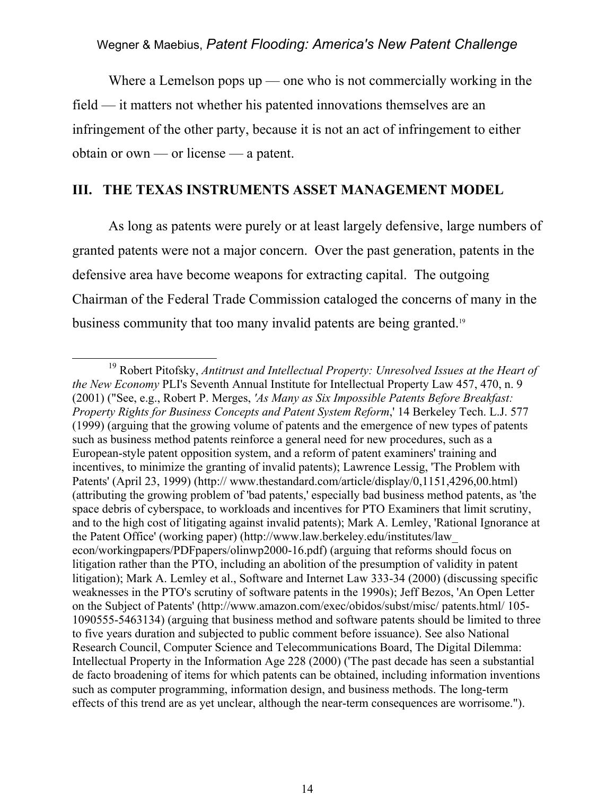Where a Lemelson pops  $up$  — one who is not commercially working in the field — it matters not whether his patented innovations themselves are an infringement of the other party, because it is not an act of infringement to either obtain or own — or license — a patent.

#### **III. THE TEXAS INSTRUMENTS ASSET MANAGEMENT MODEL**

 As long as patents were purely or at least largely defensive, large numbers of granted patents were not a major concern. Over the past generation, patents in the defensive area have become weapons for extracting capital. The outgoing Chairman of the Federal Trade Commission cataloged the concerns of many in the business community that too many invalid patents are being granted.<sup>19</sup>

 <sup>19</sup> Robert Pitofsky, *Antitrust and Intellectual Property: Unresolved Issues at the Heart of the New Economy* PLI's Seventh Annual Institute for Intellectual Property Law 457, 470, n. 9 (2001) ("See, e.g., Robert P. Merges, *'As Many as Six Impossible Patents Before Breakfast: Property Rights for Business Concepts and Patent System Reform*,' 14 Berkeley Tech. L.J. 577 (1999) (arguing that the growing volume of patents and the emergence of new types of patents such as business method patents reinforce a general need for new procedures, such as a European-style patent opposition system, and a reform of patent examiners' training and incentives, to minimize the granting of invalid patents); Lawrence Lessig, 'The Problem with Patents' (April 23, 1999) (http:// www.thestandard.com/article/display/0,1151,4296,00.html) (attributing the growing problem of 'bad patents,' especially bad business method patents, as 'the space debris of cyberspace, to workloads and incentives for PTO Examiners that limit scrutiny, and to the high cost of litigating against invalid patents); Mark A. Lemley, 'Rational Ignorance at the Patent Office' (working paper) (http://www.law.berkeley.edu/institutes/law\_ econ/workingpapers/PDFpapers/olinwp2000-16.pdf) (arguing that reforms should focus on litigation rather than the PTO, including an abolition of the presumption of validity in patent litigation); Mark A. Lemley et al., Software and Internet Law 333-34 (2000) (discussing specific weaknesses in the PTO's scrutiny of software patents in the 1990s); Jeff Bezos, 'An Open Letter on the Subject of Patents' (http://www.amazon.com/exec/obidos/subst/misc/ patents.html/ 105- 1090555-5463134) (arguing that business method and software patents should be limited to three to five years duration and subjected to public comment before issuance). See also National Research Council, Computer Science and Telecommunications Board, The Digital Dilemma: Intellectual Property in the Information Age 228 (2000) ('The past decade has seen a substantial de facto broadening of items for which patents can be obtained, including information inventions such as computer programming, information design, and business methods. The long-term effects of this trend are as yet unclear, although the near-term consequences are worrisome.").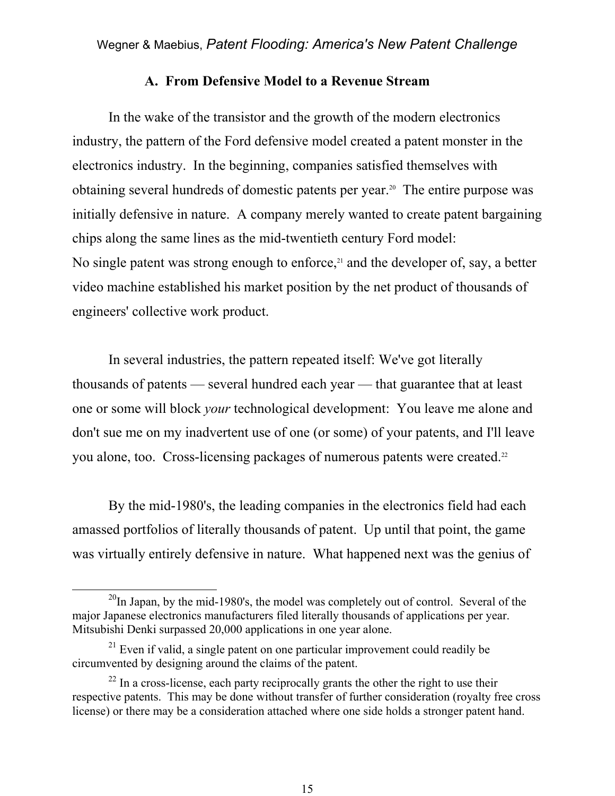#### **A. From Defensive Model to a Revenue Stream**

 In the wake of the transistor and the growth of the modern electronics industry, the pattern of the Ford defensive model created a patent monster in the electronics industry. In the beginning, companies satisfied themselves with obtaining several hundreds of domestic patents per year.20 The entire purpose was initially defensive in nature. A company merely wanted to create patent bargaining chips along the same lines as the mid-twentieth century Ford model: No single patent was strong enough to enforce, $21$  and the developer of, say, a better video machine established his market position by the net product of thousands of engineers' collective work product.

 In several industries, the pattern repeated itself: We've got literally thousands of patents — several hundred each year — that guarantee that at least one or some will block *your* technological development: You leave me alone and don't sue me on my inadvertent use of one (or some) of your patents, and I'll leave you alone, too. Cross-licensing packages of numerous patents were created.<sup>22</sup>

 By the mid-1980's, the leading companies in the electronics field had each amassed portfolios of literally thousands of patent. Up until that point, the game was virtually entirely defensive in nature. What happened next was the genius of

 $^{20}$ In Japan, by the mid-1980's, the model was completely out of control. Several of the major Japanese electronics manufacturers filed literally thousands of applications per year. Mitsubishi Denki surpassed 20,000 applications in one year alone.

 $21$  Even if valid, a single patent on one particular improvement could readily be circumvented by designing around the claims of the patent.

 $^{22}$  In a cross-license, each party reciprocally grants the other the right to use their respective patents. This may be done without transfer of further consideration (royalty free cross license) or there may be a consideration attached where one side holds a stronger patent hand.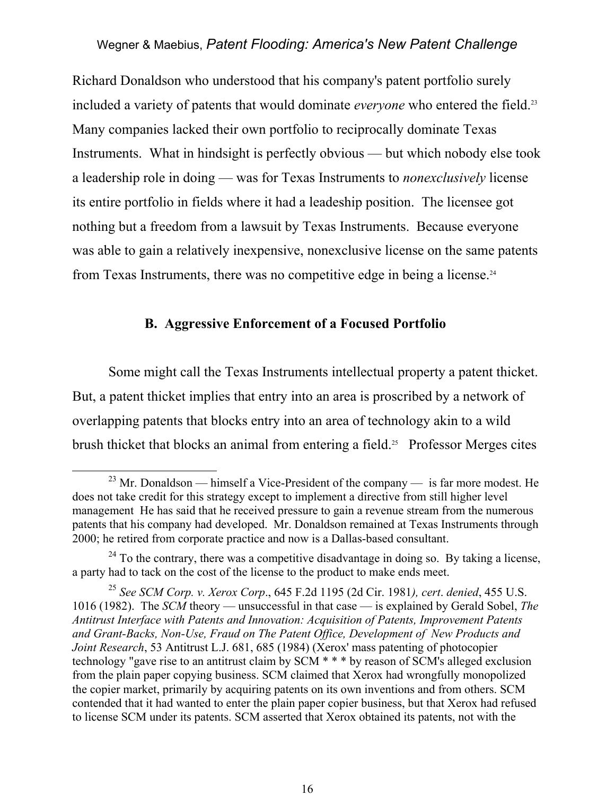Richard Donaldson who understood that his company's patent portfolio surely included a variety of patents that would dominate *everyone* who entered the field.<sup>23</sup> Many companies lacked their own portfolio to reciprocally dominate Texas Instruments. What in hindsight is perfectly obvious — but which nobody else took a leadership role in doing — was for Texas Instruments to *nonexclusively* license its entire portfolio in fields where it had a leadeship position. The licensee got nothing but a freedom from a lawsuit by Texas Instruments. Because everyone was able to gain a relatively inexpensive, nonexclusive license on the same patents from Texas Instruments, there was no competitive edge in being a license.24

# **B. Aggressive Enforcement of a Focused Portfolio**

 Some might call the Texas Instruments intellectual property a patent thicket. But, a patent thicket implies that entry into an area is proscribed by a network of overlapping patents that blocks entry into an area of technology akin to a wild brush thicket that blocks an animal from entering a field.<sup>25</sup> Professor Merges cites

<sup>&</sup>lt;sup>23</sup> Mr. Donaldson — himself a Vice-President of the company — is far more modest. He does not take credit for this strategy except to implement a directive from still higher level management He has said that he received pressure to gain a revenue stream from the numerous patents that his company had developed. Mr. Donaldson remained at Texas Instruments through 2000; he retired from corporate practice and now is a Dallas-based consultant.

 $^{24}$  To the contrary, there was a competitive disadvantage in doing so. By taking a license, a party had to tack on the cost of the license to the product to make ends meet.

<sup>25</sup> *See SCM Corp. v. Xerox Corp*., 645 F.2d 1195 (2d Cir. 1981*), cert*. *denied*, 455 U.S. 1016 (1982). The *SCM* theory — unsuccessful in that case — is explained by Gerald Sobel, *The Antitrust Interface with Patents and Innovation: Acquisition of Patents, Improvement Patents and Grant-Backs, Non-Use, Fraud on The Patent Office, Development of New Products and Joint Research*, 53 Antitrust L.J. 681, 685 (1984) (Xerox' mass patenting of photocopier technology "gave rise to an antitrust claim by SCM \* \* \* by reason of SCM's alleged exclusion from the plain paper copying business. SCM claimed that Xerox had wrongfully monopolized the copier market, primarily by acquiring patents on its own inventions and from others. SCM contended that it had wanted to enter the plain paper copier business, but that Xerox had refused to license SCM under its patents. SCM asserted that Xerox obtained its patents, not with the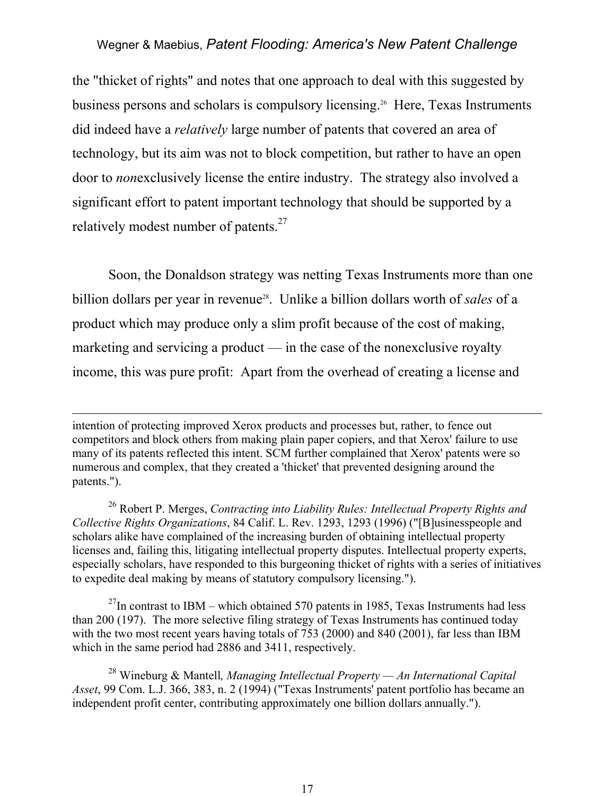the "thicket of rights" and notes that one approach to deal with this suggested by business persons and scholars is compulsory licensing.26 Here, Texas Instruments did indeed have a *relatively* large number of patents that covered an area of technology, but its aim was not to block competition, but rather to have an open door to *non*exclusively license the entire industry. The strategy also involved a significant effort to patent important technology that should be supported by a relatively modest number of patents.<sup>27</sup>

 Soon, the Donaldson strategy was netting Texas Instruments more than one billion dollars per year in revenue<sup>28</sup>. Unlike a billion dollars worth of *sales* of a product which may produce only a slim profit because of the cost of making, marketing and servicing a product — in the case of the nonexclusive royalty income, this was pure profit: Apart from the overhead of creating a license and

 $\overline{a}$ 

 $^{27}$ In contrast to IBM – which obtained 570 patents in 1985, Texas Instruments had less than 200 (197). The more selective filing strategy of Texas Instruments has continued today with the two most recent years having totals of 753 (2000) and 840 (2001), far less than IBM which in the same period had 2886 and 3411, respectively.

intention of protecting improved Xerox products and processes but, rather, to fence out competitors and block others from making plain paper copiers, and that Xerox' failure to use many of its patents reflected this intent. SCM further complained that Xerox' patents were so numerous and complex, that they created a 'thicket' that prevented designing around the patents.").

<sup>26</sup> Robert P. Merges, *Contracting into Liability Rules: Intellectual Property Rights and Collective Rights Organizations*, 84 Calif. L. Rev. 1293, 1293 (1996) ("[B]usinesspeople and scholars alike have complained of the increasing burden of obtaining intellectual property licenses and, failing this, litigating intellectual property disputes. Intellectual property experts, especially scholars, have responded to this burgeoning thicket of rights with a series of initiatives to expedite deal making by means of statutory compulsory licensing.").

<sup>28</sup> Wineburg & Mantell*, Managing Intellectual Property — An International Capital Asset*, 99 Com. L.J. 366, 383, n. 2 (1994) ("Texas Instruments' patent portfolio has became an independent profit center, contributing approximately one billion dollars annually.").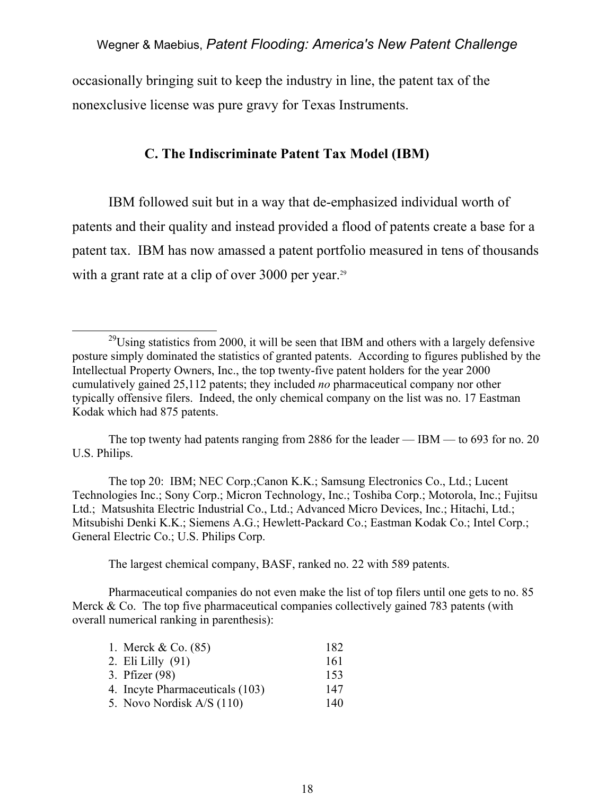occasionally bringing suit to keep the industry in line, the patent tax of the nonexclusive license was pure gravy for Texas Instruments.

# **C. The Indiscriminate Patent Tax Model (IBM)**

 IBM followed suit but in a way that de-emphasized individual worth of patents and their quality and instead provided a flood of patents create a base for a patent tax. IBM has now amassed a patent portfolio measured in tens of thousands with a grant rate at a clip of over 3000 per year.<sup>29</sup>

 The top 20: IBM; NEC Corp.;Canon K.K.; Samsung Electronics Co., Ltd.; Lucent Technologies Inc.; Sony Corp.; Micron Technology, Inc.; Toshiba Corp.; Motorola, Inc.; Fujitsu Ltd.; Matsushita Electric Industrial Co., Ltd.; Advanced Micro Devices, Inc.; Hitachi, Ltd.; Mitsubishi Denki K.K.; Siemens A.G.; Hewlett-Packard Co.; Eastman Kodak Co.; Intel Corp.; General Electric Co.; U.S. Philips Corp.

The largest chemical company, BASF, ranked no. 22 with 589 patents.

 Pharmaceutical companies do not even make the list of top filers until one gets to no. 85 Merck  $& Co$ . The top five pharmaceutical companies collectively gained 783 patents (with overall numerical ranking in parenthesis):

| 1. Merck $& Co. (85)$           | 182 |
|---------------------------------|-----|
| 2. Eli Lilly $(91)$             | 161 |
| 3. Pfizer (98)                  | 153 |
| 4. Incyte Pharmaceuticals (103) | 147 |
| 5. Novo Nordisk A/S (110)       | 140 |

 $^{29}$ Using statistics from 2000, it will be seen that IBM and others with a largely defensive posture simply dominated the statistics of granted patents. According to figures published by the Intellectual Property Owners, Inc., the top twenty-five patent holders for the year 2000 cumulatively gained 25,112 patents; they included *no* pharmaceutical company nor other typically offensive filers. Indeed, the only chemical company on the list was no. 17 Eastman Kodak which had 875 patents.

The top twenty had patents ranging from 2886 for the leader — IBM — to 693 for no. 20 U.S. Philips.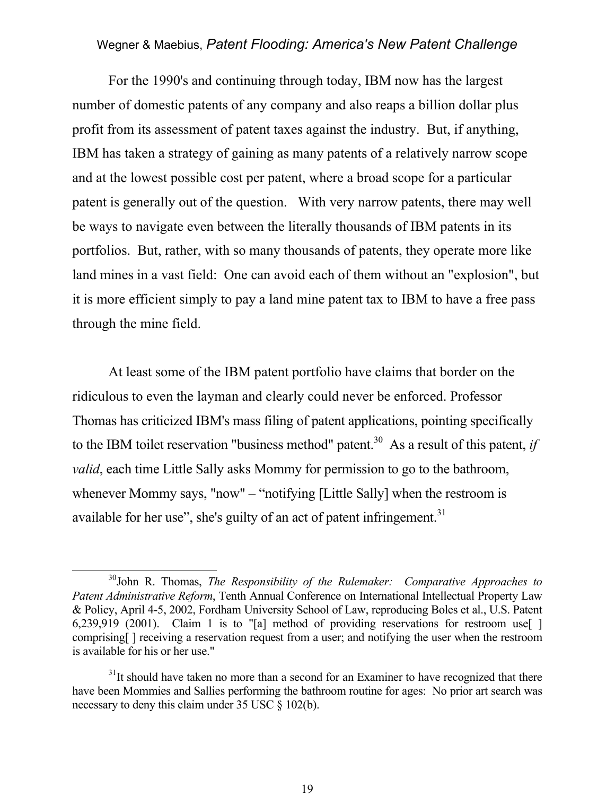For the 1990's and continuing through today, IBM now has the largest number of domestic patents of any company and also reaps a billion dollar plus profit from its assessment of patent taxes against the industry. But, if anything, IBM has taken a strategy of gaining as many patents of a relatively narrow scope and at the lowest possible cost per patent, where a broad scope for a particular patent is generally out of the question. With very narrow patents, there may well be ways to navigate even between the literally thousands of IBM patents in its portfolios. But, rather, with so many thousands of patents, they operate more like land mines in a vast field: One can avoid each of them without an "explosion", but it is more efficient simply to pay a land mine patent tax to IBM to have a free pass through the mine field.

 At least some of the IBM patent portfolio have claims that border on the ridiculous to even the layman and clearly could never be enforced. Professor Thomas has criticized IBM's mass filing of patent applications, pointing specifically to the IBM toilet reservation "business method" patent.<sup>30</sup> As a result of this patent, *if valid*, each time Little Sally asks Mommy for permission to go to the bathroom, whenever Mommy says, "now" – "notifying [Little Sally] when the restroom is available for her use", she's guilty of an act of patent infringement. $31$ 

 $\overline{a}$ 

 <sup>30</sup>John R. Thomas, *The Responsibility of the Rulemaker: Comparative Approaches to Patent Administrative Reform*, Tenth Annual Conference on International Intellectual Property Law & Policy, April 4-5, 2002, Fordham University School of Law, reproducing Boles et al., U.S. Patent 6,239,919 (2001). Claim 1 is to "[a] method of providing reservations for restroom use[ ] comprising[ ] receiving a reservation request from a user; and notifying the user when the restroom is available for his or her use."

 $31$ It should have taken no more than a second for an Examiner to have recognized that there have been Mommies and Sallies performing the bathroom routine for ages: No prior art search was necessary to deny this claim under 35 USC § 102(b).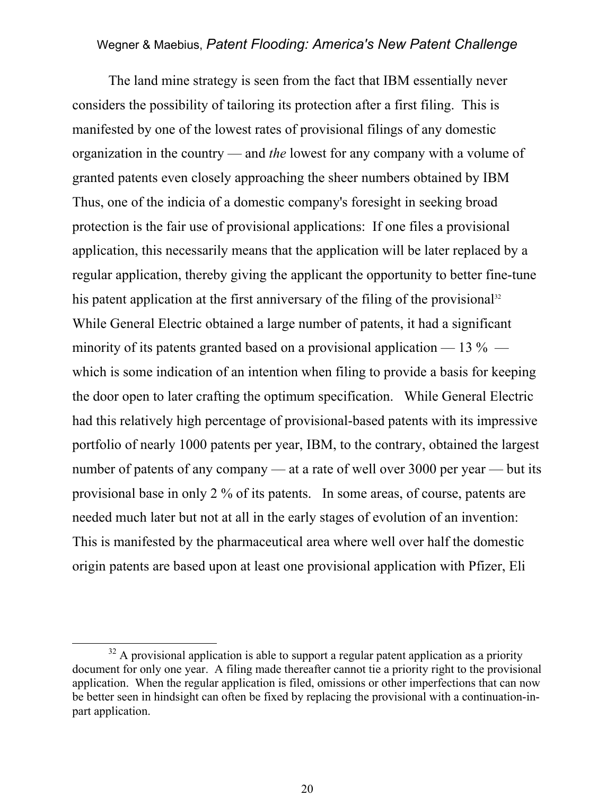The land mine strategy is seen from the fact that IBM essentially never considers the possibility of tailoring its protection after a first filing. This is manifested by one of the lowest rates of provisional filings of any domestic organization in the country — and *the* lowest for any company with a volume of granted patents even closely approaching the sheer numbers obtained by IBM Thus, one of the indicia of a domestic company's foresight in seeking broad protection is the fair use of provisional applications: If one files a provisional application, this necessarily means that the application will be later replaced by a regular application, thereby giving the applicant the opportunity to better fine-tune his patent application at the first anniversary of the filing of the provisional<sup>32</sup> While General Electric obtained a large number of patents, it had a significant minority of its patents granted based on a provisional application — 13  $\%$  which is some indication of an intention when filing to provide a basis for keeping the door open to later crafting the optimum specification. While General Electric had this relatively high percentage of provisional-based patents with its impressive portfolio of nearly 1000 patents per year, IBM, to the contrary, obtained the largest number of patents of any company — at a rate of well over 3000 per year — but its provisional base in only 2 % of its patents. In some areas, of course, patents are needed much later but not at all in the early stages of evolution of an invention: This is manifested by the pharmaceutical area where well over half the domestic origin patents are based upon at least one provisional application with Pfizer, Eli

 $32$  A provisional application is able to support a regular patent application as a priority document for only one year. A filing made thereafter cannot tie a priority right to the provisional application. When the regular application is filed, omissions or other imperfections that can now be better seen in hindsight can often be fixed by replacing the provisional with a continuation-inpart application.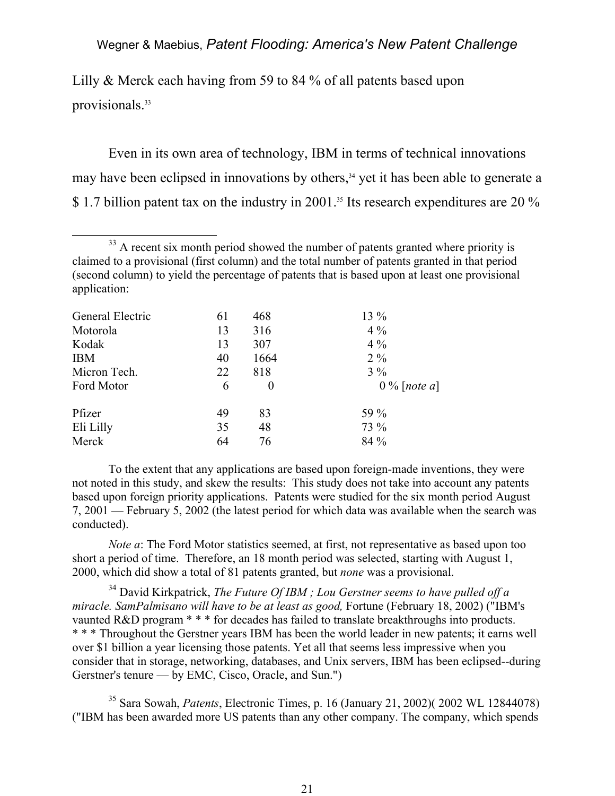Lilly & Merck each having from 59 to 84 % of all patents based upon provisionals.<sup>33</sup>

 Even in its own area of technology, IBM in terms of technical innovations may have been eclipsed in innovations by others,<sup>34</sup> yet it has been able to generate a \$1.7 billion patent tax on the industry in 2001.<sup>35</sup> Its research expenditures are 20 %

<sup>&</sup>lt;sup>33</sup> A recent six month period showed the number of patents granted where priority is claimed to a provisional (first column) and the total number of patents granted in that period (second column) to yield the percentage of patents that is based upon at least one provisional application:

| General Electric | 61 | 468              | 13 %           |
|------------------|----|------------------|----------------|
| Motorola         | 13 | 316              | $4\%$          |
| Kodak            | 13 | 307              | $4\%$          |
| <b>IBM</b>       | 40 | 1664             | $2\%$          |
| Micron Tech.     | 22 | 818              | $3\%$          |
| Ford Motor       | 6  | $\boldsymbol{0}$ | $0\%$ [note a] |
| Pfizer           | 49 | 83               | 59 %           |
| Eli Lilly        | 35 | 48               | 73 %           |
| Merck            | 64 | 76               | 84 %           |

To the extent that any applications are based upon foreign-made inventions, they were not noted in this study, and skew the results: This study does not take into account any patents based upon foreign priority applications. Patents were studied for the six month period August 7, 2001 — February 5, 2002 (the latest period for which data was available when the search was conducted).

*Note a*: The Ford Motor statistics seemed, at first, not representative as based upon too short a period of time. Therefore, an 18 month period was selected, starting with August 1, 2000, which did show a total of 81 patents granted, but *none* was a provisional.

<sup>34</sup> David Kirkpatrick, *The Future Of IBM*; Lou Gerstner seems to have pulled off a *miracle. SamPalmisano will have to be at least as good,* Fortune (February 18, 2002) ("IBM's vaunted R&D program \* \* \* for decades has failed to translate breakthroughs into products. \* \* \* Throughout the Gerstner years IBM has been the world leader in new patents; it earns well over \$1 billion a year licensing those patents. Yet all that seems less impressive when you consider that in storage, networking, databases, and Unix servers, IBM has been eclipsed--during Gerstner's tenure — by EMC, Cisco, Oracle, and Sun.")

35 Sara Sowah, *Patents*, Electronic Times, p. 16 (January 21, 2002)( 2002 WL 12844078) ("IBM has been awarded more US patents than any other company. The company, which spends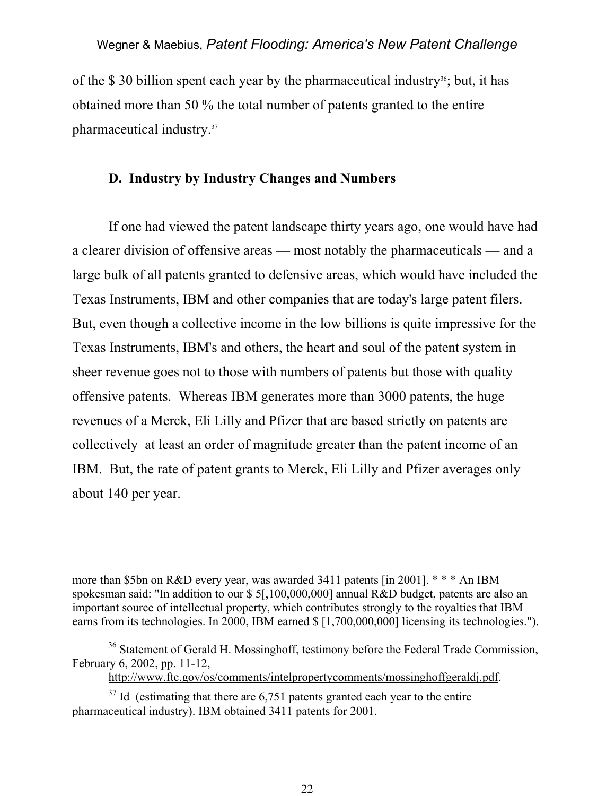of the \$30 billion spent each year by the pharmaceutical industry<sup>36</sup>; but, it has obtained more than 50 % the total number of patents granted to the entire pharmaceutical industry.37

#### **D. Industry by Industry Changes and Numbers**

 If one had viewed the patent landscape thirty years ago, one would have had a clearer division of offensive areas — most notably the pharmaceuticals — and a large bulk of all patents granted to defensive areas, which would have included the Texas Instruments, IBM and other companies that are today's large patent filers. But, even though a collective income in the low billions is quite impressive for the Texas Instruments, IBM's and others, the heart and soul of the patent system in sheer revenue goes not to those with numbers of patents but those with quality offensive patents. Whereas IBM generates more than 3000 patents, the huge revenues of a Merck, Eli Lilly and Pfizer that are based strictly on patents are collectively at least an order of magnitude greater than the patent income of an IBM. But, the rate of patent grants to Merck, Eli Lilly and Pfizer averages only about 140 per year.

more than \$5bn on R&D every year, was awarded 3411 patents [in 2001]. \* \* \* An IBM spokesman said: "In addition to our \$ 5[,100,000,000] annual R&D budget, patents are also an important source of intellectual property, which contributes strongly to the royalties that IBM earns from its technologies. In 2000, IBM earned \$ [1,700,000,000] licensing its technologies.").

http://www.ftc.gov/os/comments/intelpropertycomments/mossinghoffgeraldj.pdf.

 $37$  Id (estimating that there are 6,751 patents granted each year to the entire pharmaceutical industry). IBM obtained 3411 patents for 2001.

 $\overline{a}$ 

<sup>&</sup>lt;sup>36</sup> Statement of Gerald H. Mossinghoff, testimony before the Federal Trade Commission, February 6, 2002, pp. 11-12,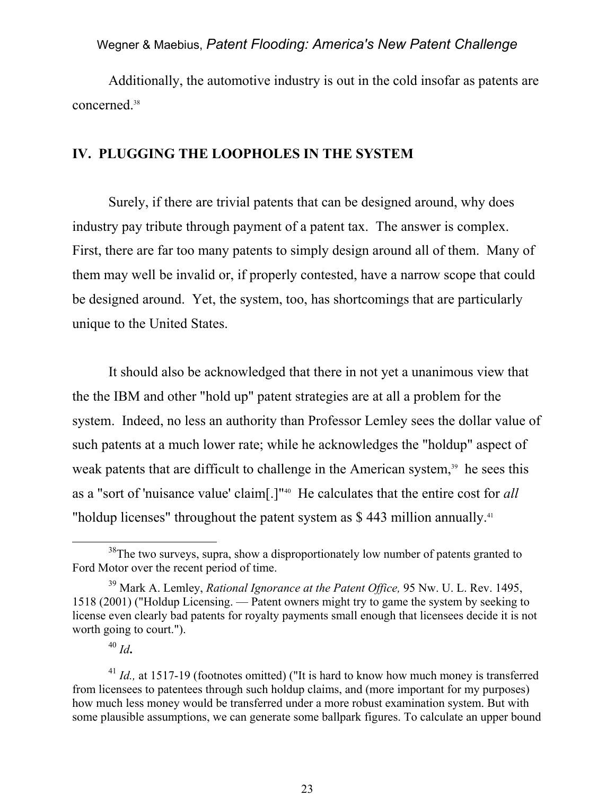Additionally, the automotive industry is out in the cold insofar as patents are concerned.38

# **IV. PLUGGING THE LOOPHOLES IN THE SYSTEM**

 Surely, if there are trivial patents that can be designed around, why does industry pay tribute through payment of a patent tax. The answer is complex. First, there are far too many patents to simply design around all of them. Many of them may well be invalid or, if properly contested, have a narrow scope that could be designed around. Yet, the system, too, has shortcomings that are particularly unique to the United States.

 It should also be acknowledged that there in not yet a unanimous view that the the IBM and other "hold up" patent strategies are at all a problem for the system. Indeed, no less an authority than Professor Lemley sees the dollar value of such patents at a much lower rate; while he acknowledges the "holdup" aspect of weak patents that are difficult to challenge in the American system,<sup>39</sup> he sees this as a "sort of 'nuisance value' claim[.]"40 He calculates that the entire cost for *all* "holdup licenses" throughout the patent system as \$443 million annually.<sup>41</sup>

<sup>40</sup> *Id***.**

<sup>&</sup>lt;sup>38</sup>The two surveys, supra, show a disproportionately low number of patents granted to Ford Motor over the recent period of time.

<sup>39</sup> Mark A. Lemley, *Rational Ignorance at the Patent Office,* 95 Nw. U. L. Rev. 1495, 1518 (2001) ("Holdup Licensing. — Patent owners might try to game the system by seeking to license even clearly bad patents for royalty payments small enough that licensees decide it is not worth going to court.").

<sup>&</sup>lt;sup>41</sup> *Id.*, at 1517-19 (footnotes omitted) ("It is hard to know how much money is transferred from licensees to patentees through such holdup claims, and (more important for my purposes) how much less money would be transferred under a more robust examination system. But with some plausible assumptions, we can generate some ballpark figures. To calculate an upper bound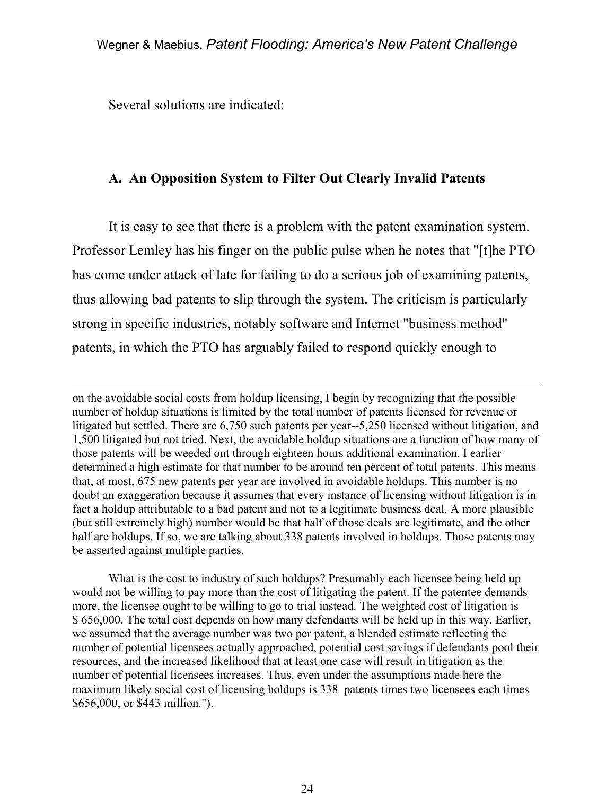Several solutions are indicated:

 $\overline{a}$ 

# **A. An Opposition System to Filter Out Clearly Invalid Patents**

 It is easy to see that there is a problem with the patent examination system. Professor Lemley has his finger on the public pulse when he notes that "[t]he PTO has come under attack of late for failing to do a serious job of examining patents, thus allowing bad patents to slip through the system. The criticism is particularly strong in specific industries, notably software and Internet "business method" patents, in which the PTO has arguably failed to respond quickly enough to

on the avoidable social costs from holdup licensing, I begin by recognizing that the possible number of holdup situations is limited by the total number of patents licensed for revenue or litigated but settled. There are 6,750 such patents per year--5,250 licensed without litigation, and 1,500 litigated but not tried. Next, the avoidable holdup situations are a function of how many of those patents will be weeded out through eighteen hours additional examination. I earlier determined a high estimate for that number to be around ten percent of total patents. This means that, at most, 675 new patents per year are involved in avoidable holdups. This number is no doubt an exaggeration because it assumes that every instance of licensing without litigation is in fact a holdup attributable to a bad patent and not to a legitimate business deal. A more plausible (but still extremely high) number would be that half of those deals are legitimate, and the other half are holdups. If so, we are talking about 338 patents involved in holdups. Those patents may be asserted against multiple parties.

 What is the cost to industry of such holdups? Presumably each licensee being held up would not be willing to pay more than the cost of litigating the patent. If the patentee demands more, the licensee ought to be willing to go to trial instead. The weighted cost of litigation is \$ 656,000. The total cost depends on how many defendants will be held up in this way. Earlier, we assumed that the average number was two per patent, a blended estimate reflecting the number of potential licensees actually approached, potential cost savings if defendants pool their resources, and the increased likelihood that at least one case will result in litigation as the number of potential licensees increases. Thus, even under the assumptions made here the maximum likely social cost of licensing holdups is 338 patents times two licensees each times \$656,000, or \$443 million.").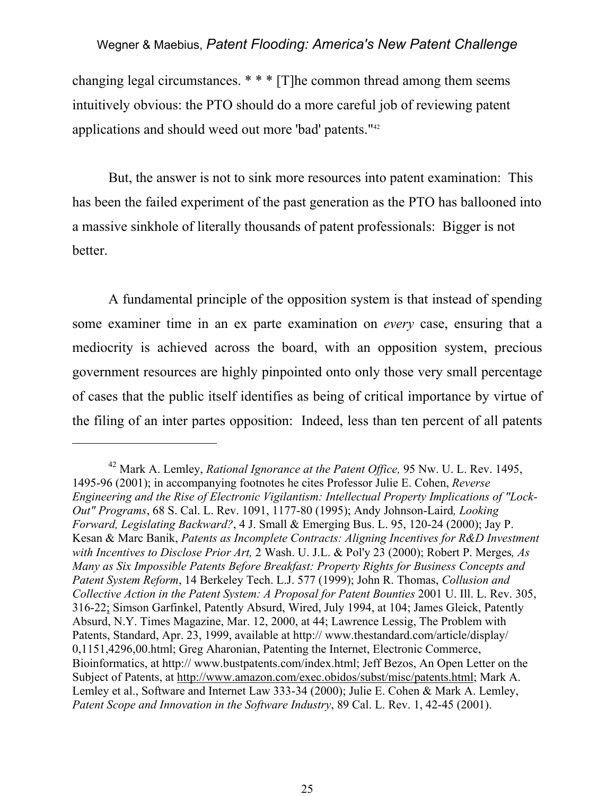changing legal circumstances. \* \* \* [T]he common thread among them seems intuitively obvious: the PTO should do a more careful job of reviewing patent applications and should weed out more 'bad' patents."42

 But, the answer is not to sink more resources into patent examination: This has been the failed experiment of the past generation as the PTO has ballooned into a massive sinkhole of literally thousands of patent professionals: Bigger is not better.

 A fundamental principle of the opposition system is that instead of spending some examiner time in an ex parte examination on *every* case, ensuring that a mediocrity is achieved across the board, with an opposition system, precious government resources are highly pinpointed onto only those very small percentage of cases that the public itself identifies as being of critical importance by virtue of the filing of an inter partes opposition: Indeed, less than ten percent of all patents

 $\overline{a}$ 

<sup>42</sup> Mark A. Lemley, *Rational Ignorance at the Patent Office,* 95 Nw. U. L. Rev. 1495, 1495-96 (2001); in accompanying footnotes he cites Professor Julie E. Cohen, *Reverse Engineering and the Rise of Electronic Vigilantism: Intellectual Property Implications of "Lock-Out" Programs*, 68 S. Cal. L. Rev. 1091, 1177-80 (1995); Andy Johnson-Laird*, Looking Forward, Legislating Backward?*, 4 J. Small & Emerging Bus. L. 95, 120-24 (2000); Jay P. Kesan & Marc Banik, *Patents as Incomplete Contracts: Aligning Incentives for R&D Investment with Incentives to Disclose Prior Art,* 2 Wash. U. J.L. & Pol'y 23 (2000); Robert P. Merges*, As Many as Six Impossible Patents Before Breakfast: Property Rights for Business Concepts and Patent System Reform*, 14 Berkeley Tech. L.J. 577 (1999); John R. Thomas, *Collusion and Collective Action in the Patent System: A Proposal for Patent Bounties* 2001 U. Ill. L. Rev. 305, 316-22; Simson Garfinkel, Patently Absurd, Wired, July 1994, at 104; James Gleick, Patently Absurd, N.Y. Times Magazine, Mar. 12, 2000, at 44; Lawrence Lessig, The Problem with Patents, Standard, Apr. 23, 1999, available at http:// www.thestandard.com/article/display/ 0,1151,4296,00.html; Greg Aharonian, Patenting the Internet, Electronic Commerce, Bioinformatics, at http:// www.bustpatents.com/index.html; Jeff Bezos, An Open Letter on the Subject of Patents, at http://www.amazon.com/exec.obidos/subst/misc/patents.html; Mark A. Lemley et al., Software and Internet Law 333-34 (2000); Julie E. Cohen & Mark A. Lemley, *Patent Scope and Innovation in the Software Industry*, 89 Cal. L. Rev. 1, 42-45 (2001).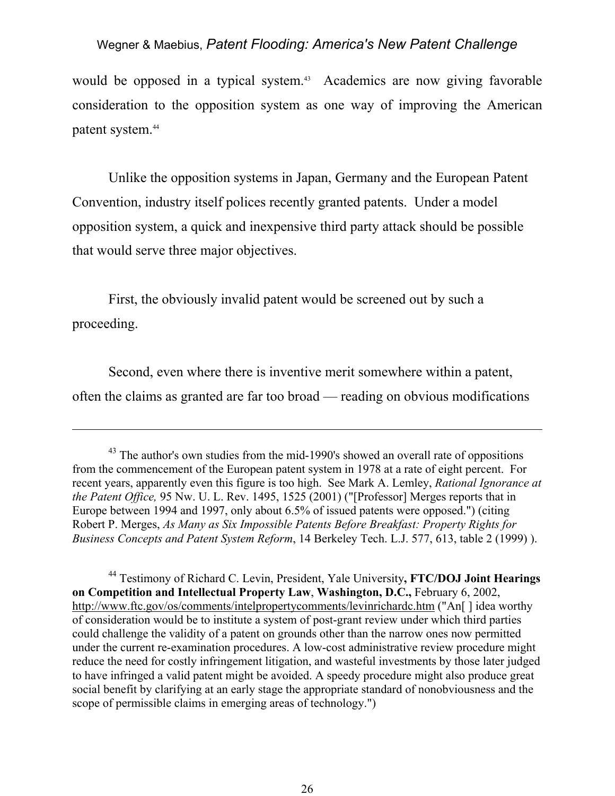would be opposed in a typical system.<sup>43</sup> Academics are now giving favorable consideration to the opposition system as one way of improving the American patent system.44

 Unlike the opposition systems in Japan, Germany and the European Patent Convention, industry itself polices recently granted patents. Under a model opposition system, a quick and inexpensive third party attack should be possible that would serve three major objectives.

 First, the obviously invalid patent would be screened out by such a proceeding.

 $\overline{a}$ 

 Second, even where there is inventive merit somewhere within a patent, often the claims as granted are far too broad — reading on obvious modifications

44 Testimony of Richard C. Levin, President, Yale University**, FTC/DOJ Joint Hearings on Competition and Intellectual Property Law**, **Washington, D.C.,** February 6, 2002, http://www.ftc.gov/os/comments/intelpropertycomments/levinrichardc.htm ("An[] idea worthy of consideration would be to institute a system of post-grant review under which third parties could challenge the validity of a patent on grounds other than the narrow ones now permitted under the current re-examination procedures. A low-cost administrative review procedure might reduce the need for costly infringement litigation, and wasteful investments by those later judged to have infringed a valid patent might be avoided. A speedy procedure might also produce great social benefit by clarifying at an early stage the appropriate standard of nonobviousness and the scope of permissible claims in emerging areas of technology.")

<sup>&</sup>lt;sup>43</sup> The author's own studies from the mid-1990's showed an overall rate of oppositions from the commencement of the European patent system in 1978 at a rate of eight percent. For recent years, apparently even this figure is too high. See Mark A. Lemley, *Rational Ignorance at the Patent Office,* 95 Nw. U. L. Rev. 1495, 1525 (2001) ("[Professor] Merges reports that in Europe between 1994 and 1997, only about 6.5% of issued patents were opposed.") (citing Robert P. Merges, *As Many as Six Impossible Patents Before Breakfast: Property Rights for Business Concepts and Patent System Reform*, 14 Berkeley Tech. L.J. 577, 613, table 2 (1999) ).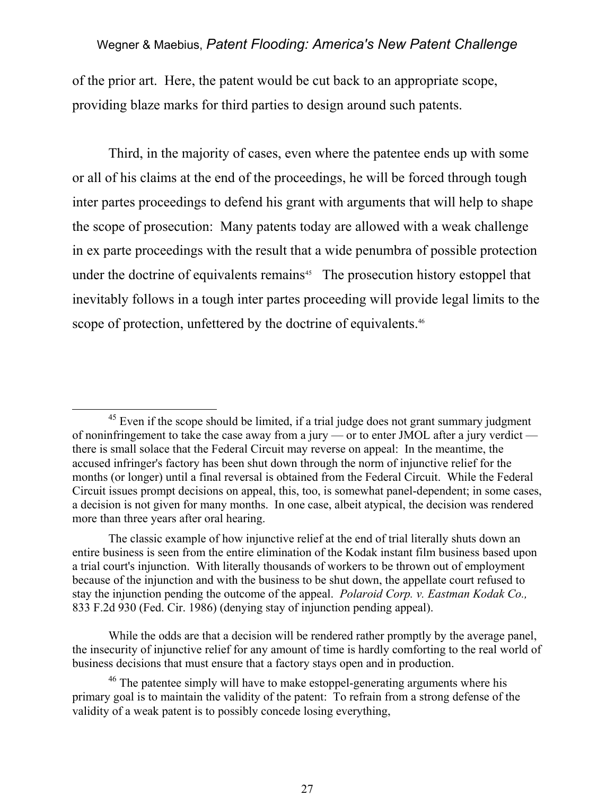of the prior art. Here, the patent would be cut back to an appropriate scope, providing blaze marks for third parties to design around such patents.

 Third, in the majority of cases, even where the patentee ends up with some or all of his claims at the end of the proceedings, he will be forced through tough inter partes proceedings to defend his grant with arguments that will help to shape the scope of prosecution: Many patents today are allowed with a weak challenge in ex parte proceedings with the result that a wide penumbra of possible protection under the doctrine of equivalents remains<sup>45</sup> The prosecution history estoppel that inevitably follows in a tough inter partes proceeding will provide legal limits to the scope of protection, unfettered by the doctrine of equivalents.<sup>46</sup>

 $45$  Even if the scope should be limited, if a trial judge does not grant summary judgment of noninfringement to take the case away from a jury — or to enter JMOL after a jury verdict there is small solace that the Federal Circuit may reverse on appeal: In the meantime, the accused infringer's factory has been shut down through the norm of injunctive relief for the months (or longer) until a final reversal is obtained from the Federal Circuit. While the Federal Circuit issues prompt decisions on appeal, this, too, is somewhat panel-dependent; in some cases, a decision is not given for many months. In one case, albeit atypical, the decision was rendered more than three years after oral hearing.

The classic example of how injunctive relief at the end of trial literally shuts down an entire business is seen from the entire elimination of the Kodak instant film business based upon a trial court's injunction. With literally thousands of workers to be thrown out of employment because of the injunction and with the business to be shut down, the appellate court refused to stay the injunction pending the outcome of the appeal. *Polaroid Corp. v. Eastman Kodak Co.,* 833 F.2d 930 (Fed. Cir. 1986) (denying stay of injunction pending appeal).

While the odds are that a decision will be rendered rather promptly by the average panel, the insecurity of injunctive relief for any amount of time is hardly comforting to the real world of business decisions that must ensure that a factory stays open and in production.

<sup>&</sup>lt;sup>46</sup> The patentee simply will have to make estoppel-generating arguments where his primary goal is to maintain the validity of the patent: To refrain from a strong defense of the validity of a weak patent is to possibly concede losing everything,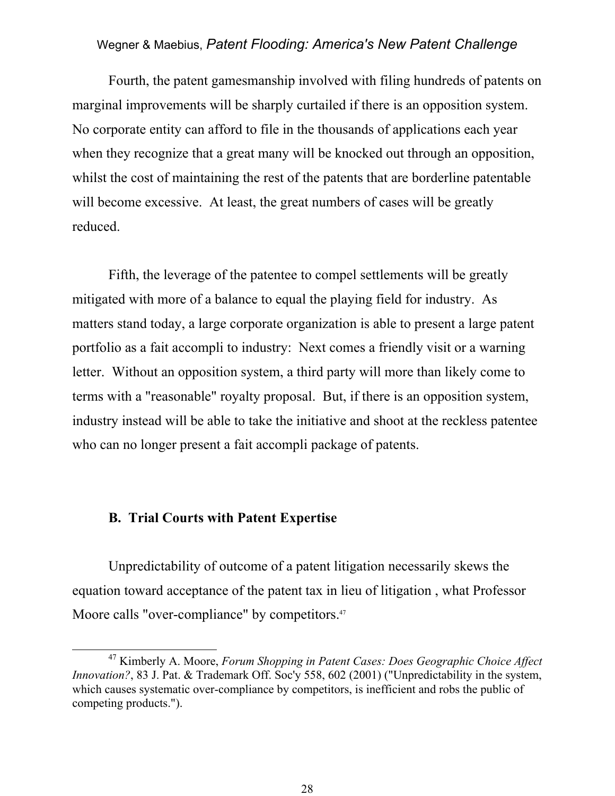Fourth, the patent gamesmanship involved with filing hundreds of patents on marginal improvements will be sharply curtailed if there is an opposition system. No corporate entity can afford to file in the thousands of applications each year when they recognize that a great many will be knocked out through an opposition, whilst the cost of maintaining the rest of the patents that are borderline patentable will become excessive. At least, the great numbers of cases will be greatly reduced.

 Fifth, the leverage of the patentee to compel settlements will be greatly mitigated with more of a balance to equal the playing field for industry. As matters stand today, a large corporate organization is able to present a large patent portfolio as a fait accompli to industry: Next comes a friendly visit or a warning letter. Without an opposition system, a third party will more than likely come to terms with a "reasonable" royalty proposal. But, if there is an opposition system, industry instead will be able to take the initiative and shoot at the reckless patentee who can no longer present a fait accompli package of patents.

#### **B. Trial Courts with Patent Expertise**

 Unpredictability of outcome of a patent litigation necessarily skews the equation toward acceptance of the patent tax in lieu of litigation , what Professor Moore calls "over-compliance" by competitors.<sup>47</sup>

 <sup>47</sup> Kimberly A. Moore, *Forum Shopping in Patent Cases: Does Geographic Choice Affect Innovation?*, 83 J. Pat. & Trademark Off. Soc'y 558, 602 (2001) ("Unpredictability in the system, which causes systematic over-compliance by competitors, is inefficient and robs the public of competing products.").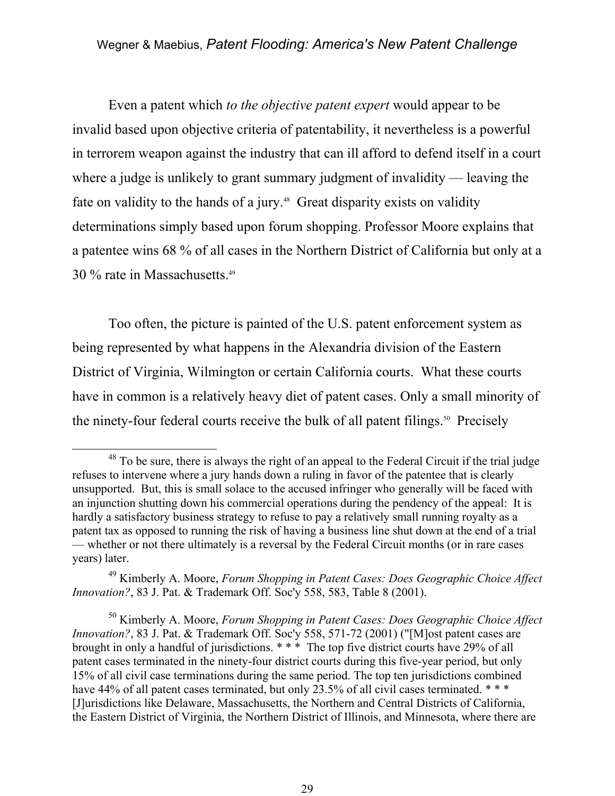Even a patent which *to the objective patent expert* would appear to be invalid based upon objective criteria of patentability, it nevertheless is a powerful in terrorem weapon against the industry that can ill afford to defend itself in a court where a judge is unlikely to grant summary judgment of invalidity — leaving the fate on validity to the hands of a jury.<sup>48</sup> Great disparity exists on validity determinations simply based upon forum shopping. Professor Moore explains that a patentee wins 68 % of all cases in the Northern District of California but only at a 30 % rate in Massachusetts.49

 Too often, the picture is painted of the U.S. patent enforcement system as being represented by what happens in the Alexandria division of the Eastern District of Virginia, Wilmington or certain California courts. What these courts have in common is a relatively heavy diet of patent cases. Only a small minority of the ninety-four federal courts receive the bulk of all patent filings.<sup>50</sup> Precisely

<sup>&</sup>lt;sup>48</sup> To be sure, there is always the right of an appeal to the Federal Circuit if the trial judge refuses to intervene where a jury hands down a ruling in favor of the patentee that is clearly unsupported. But, this is small solace to the accused infringer who generally will be faced with an injunction shutting down his commercial operations during the pendency of the appeal: It is hardly a satisfactory business strategy to refuse to pay a relatively small running royalty as a patent tax as opposed to running the risk of having a business line shut down at the end of a trial — whether or not there ultimately is a reversal by the Federal Circuit months (or in rare cases years) later.

<sup>49</sup> Kimberly A. Moore, *Forum Shopping in Patent Cases: Does Geographic Choice Affect Innovation?*, 83 J. Pat. & Trademark Off. Soc'y 558, 583, Table 8 (2001).

<sup>50</sup> Kimberly A. Moore, *Forum Shopping in Patent Cases: Does Geographic Choice Affect Innovation?*, 83 J. Pat. & Trademark Off. Soc'y 558, 571-72 (2001) ("[M]ost patent cases are brought in only a handful of jurisdictions. \* \* \* The top five district courts have 29% of all patent cases terminated in the ninety-four district courts during this five-year period, but only 15% of all civil case terminations during the same period. The top ten jurisdictions combined have 44% of all patent cases terminated, but only 23.5% of all civil cases terminated. \*\*\* [J]urisdictions like Delaware, Massachusetts, the Northern and Central Districts of California, the Eastern District of Virginia, the Northern District of Illinois, and Minnesota, where there are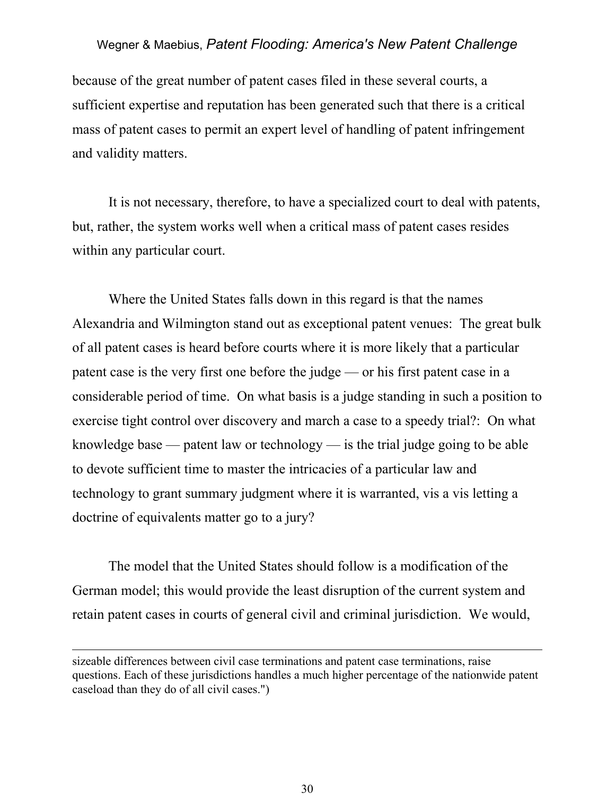because of the great number of patent cases filed in these several courts, a sufficient expertise and reputation has been generated such that there is a critical mass of patent cases to permit an expert level of handling of patent infringement and validity matters.

 It is not necessary, therefore, to have a specialized court to deal with patents, but, rather, the system works well when a critical mass of patent cases resides within any particular court.

 Where the United States falls down in this regard is that the names Alexandria and Wilmington stand out as exceptional patent venues: The great bulk of all patent cases is heard before courts where it is more likely that a particular patent case is the very first one before the judge — or his first patent case in a considerable period of time. On what basis is a judge standing in such a position to exercise tight control over discovery and march a case to a speedy trial?: On what knowledge base — patent law or technology — is the trial judge going to be able to devote sufficient time to master the intricacies of a particular law and technology to grant summary judgment where it is warranted, vis a vis letting a doctrine of equivalents matter go to a jury?

 The model that the United States should follow is a modification of the German model; this would provide the least disruption of the current system and retain patent cases in courts of general civil and criminal jurisdiction. We would,

l

sizeable differences between civil case terminations and patent case terminations, raise questions. Each of these jurisdictions handles a much higher percentage of the nationwide patent caseload than they do of all civil cases.")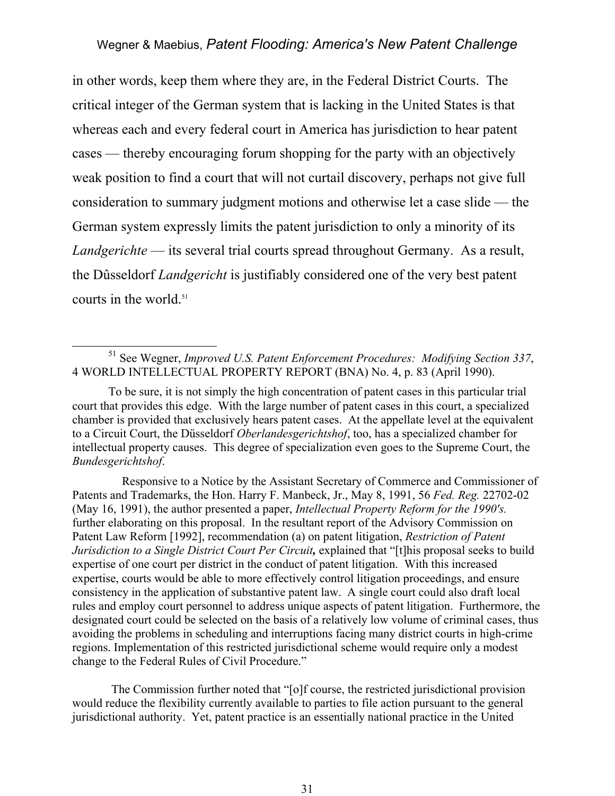in other words, keep them where they are, in the Federal District Courts. The critical integer of the German system that is lacking in the United States is that whereas each and every federal court in America has jurisdiction to hear patent cases — thereby encouraging forum shopping for the party with an objectively weak position to find a court that will not curtail discovery, perhaps not give full consideration to summary judgment motions and otherwise let a case slide — the German system expressly limits the patent jurisdiction to only a minority of its *Landgerichte* — its several trial courts spread throughout Germany. As a result, the Dûsseldorf *Landgericht* is justifiably considered one of the very best patent courts in the world.<sup>51</sup>

To be sure, it is not simply the high concentration of patent cases in this particular trial court that provides this edge. With the large number of patent cases in this court, a specialized chamber is provided that exclusively hears patent cases. At the appellate level at the equivalent to a Circuit Court, the Dűsseldorf *Oberlandesgerichtshof*, too, has a specialized chamber for intellectual property causes. This degree of specialization even goes to the Supreme Court, the *Bundesgerichtshof*.

 Responsive to a Notice by the Assistant Secretary of Commerce and Commissioner of Patents and Trademarks, the Hon. Harry F. Manbeck, Jr., May 8, 1991, 56 *Fed. Reg.* 22702-02 (May 16, 1991), the author presented a paper, *Intellectual Property Reform for the 1990's.*  further elaborating on this proposal. In the resultant report of the Advisory Commission on Patent Law Reform [1992], recommendation (a) on patent litigation, *Restriction of Patent Jurisdiction to a Single District Court Per Circuit*, explained that "[t]his proposal seeks to build expertise of one court per district in the conduct of patent litigation. With this increased expertise, courts would be able to more effectively control litigation proceedings, and ensure consistency in the application of substantive patent law. A single court could also draft local rules and employ court personnel to address unique aspects of patent litigation. Furthermore, the designated court could be selected on the basis of a relatively low volume of criminal cases, thus avoiding the problems in scheduling and interruptions facing many district courts in high-crime regions. Implementation of this restricted jurisdictional scheme would require only a modest change to the Federal Rules of Civil Procedure."

 The Commission further noted that "[o]f course, the restricted jurisdictional provision would reduce the flexibility currently available to parties to file action pursuant to the general jurisdictional authority. Yet, patent practice is an essentially national practice in the United

 <sup>51</sup> See Wegner, *Improved U.S. Patent Enforcement Procedures: Modifying Section 337*, 4 WORLD INTELLECTUAL PROPERTY REPORT (BNA) No. 4, p. 83 (April 1990).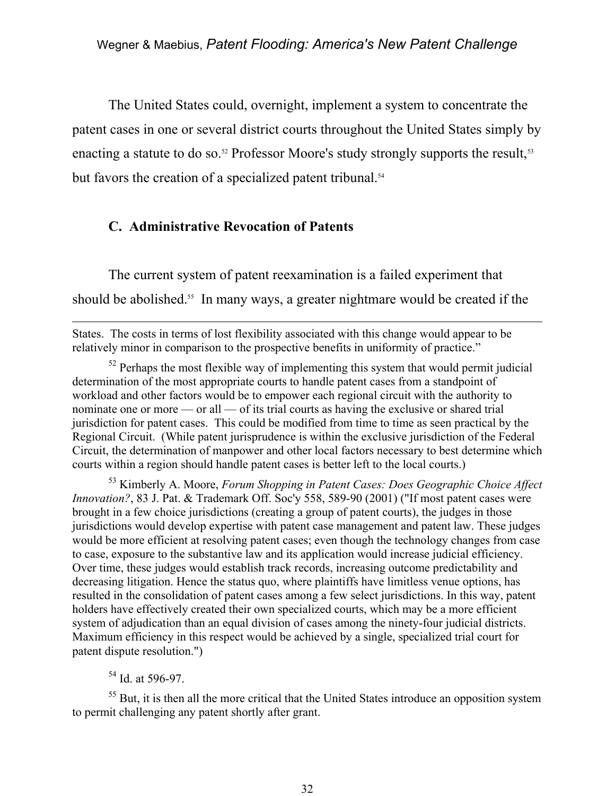The United States could, overnight, implement a system to concentrate the patent cases in one or several district courts throughout the United States simply by enacting a statute to do so.<sup>52</sup> Professor Moore's study strongly supports the result,<sup>53</sup> but favors the creation of a specialized patent tribunal.<sup>54</sup>

# **C. Administrative Revocation of Patents**

 The current system of patent reexamination is a failed experiment that should be abolished.<sup>55</sup> In many ways, a greater nightmare would be created if the

States. The costs in terms of lost flexibility associated with this change would appear to be relatively minor in comparison to the prospective benefits in uniformity of practice."

 $52$  Perhaps the most flexible way of implementing this system that would permit judicial determination of the most appropriate courts to handle patent cases from a standpoint of workload and other factors would be to empower each regional circuit with the authority to nominate one or more — or all — of its trial courts as having the exclusive or shared trial jurisdiction for patent cases. This could be modified from time to time as seen practical by the Regional Circuit. (While patent jurisprudence is within the exclusive jurisdiction of the Federal Circuit, the determination of manpower and other local factors necessary to best determine which courts within a region should handle patent cases is better left to the local courts.)

53 Kimberly A. Moore, *Forum Shopping in Patent Cases: Does Geographic Choice Affect Innovation?*, 83 J. Pat. & Trademark Off. Soc'y 558, 589-90 (2001) ("If most patent cases were brought in a few choice jurisdictions (creating a group of patent courts), the judges in those jurisdictions would develop expertise with patent case management and patent law. These judges would be more efficient at resolving patent cases; even though the technology changes from case to case, exposure to the substantive law and its application would increase judicial efficiency. Over time, these judges would establish track records, increasing outcome predictability and decreasing litigation. Hence the status quo, where plaintiffs have limitless venue options, has resulted in the consolidation of patent cases among a few select jurisdictions. In this way, patent holders have effectively created their own specialized courts, which may be a more efficient system of adjudication than an equal division of cases among the ninety-four judicial districts. Maximum efficiency in this respect would be achieved by a single, specialized trial court for patent dispute resolution.")

# 54 Id. at 596-97.

 $\overline{a}$ 

<sup>55</sup> But, it is then all the more critical that the United States introduce an opposition system to permit challenging any patent shortly after grant.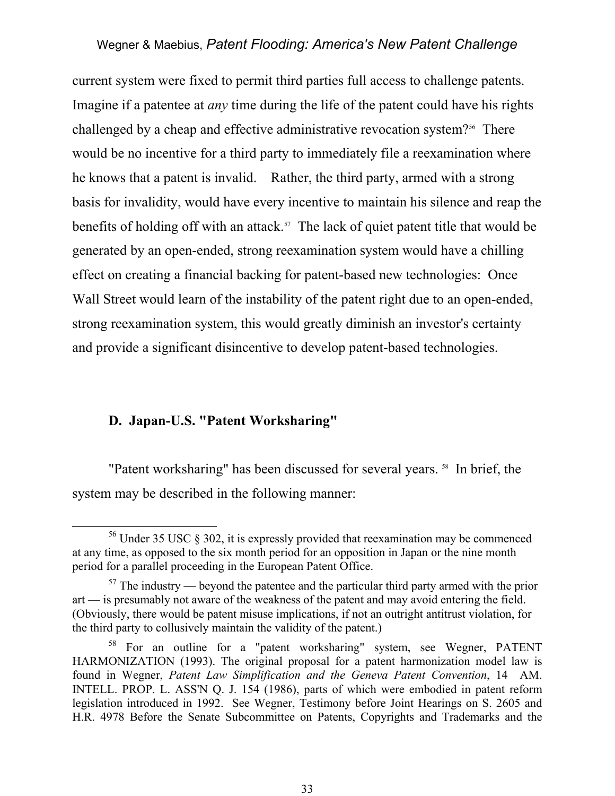current system were fixed to permit third parties full access to challenge patents. Imagine if a patentee at *any* time during the life of the patent could have his rights challenged by a cheap and effective administrative revocation system?<sup>56</sup> There would be no incentive for a third party to immediately file a reexamination where he knows that a patent is invalid. Rather, the third party, armed with a strong basis for invalidity, would have every incentive to maintain his silence and reap the benefits of holding off with an attack.<sup>57</sup> The lack of quiet patent title that would be generated by an open-ended, strong reexamination system would have a chilling effect on creating a financial backing for patent-based new technologies: Once Wall Street would learn of the instability of the patent right due to an open-ended, strong reexamination system, this would greatly diminish an investor's certainty and provide a significant disincentive to develop patent-based technologies.

#### **D. Japan-U.S. "Patent Worksharing"**

"Patent worksharing" has been discussed for several years.<sup>58</sup> In brief, the system may be described in the following manner:

 <sup>56</sup> Under 35 USC § 302, it is expressly provided that reexamination may be commenced at any time, as opposed to the six month period for an opposition in Japan or the nine month period for a parallel proceeding in the European Patent Office.

 $57$  The industry — beyond the patentee and the particular third party armed with the prior art — is presumably not aware of the weakness of the patent and may avoid entering the field. (Obviously, there would be patent misuse implications, if not an outright antitrust violation, for the third party to collusively maintain the validity of the patent.)

<sup>58</sup> For an outline for a "patent worksharing" system, see Wegner, PATENT HARMONIZATION (1993). The original proposal for a patent harmonization model law is found in Wegner, *Patent Law Simplification and the Geneva Patent Convention*, 14 AM. INTELL. PROP. L. ASS'N Q. J. 154 (1986), parts of which were embodied in patent reform legislation introduced in 1992. See Wegner, Testimony before Joint Hearings on S. 2605 and H.R. 4978 Before the Senate Subcommittee on Patents, Copyrights and Trademarks and the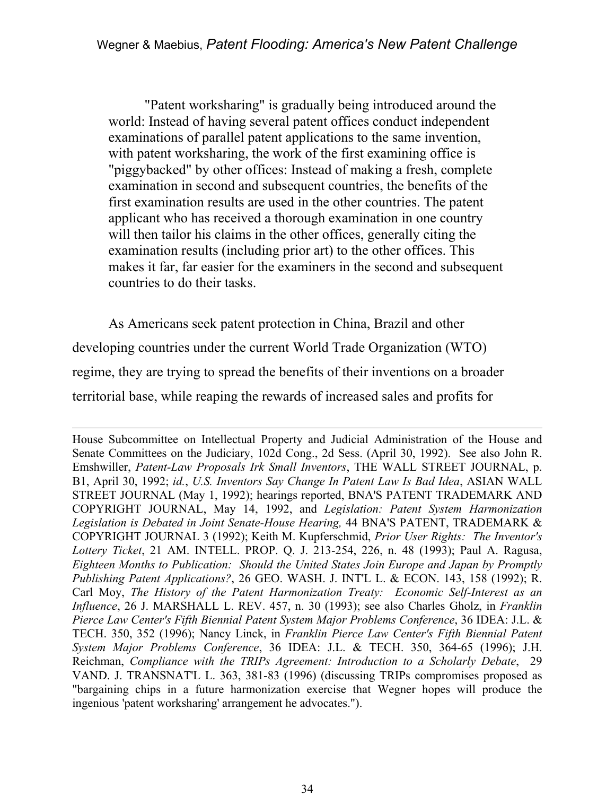"Patent worksharing" is gradually being introduced around the world: Instead of having several patent offices conduct independent examinations of parallel patent applications to the same invention, with patent worksharing, the work of the first examining office is "piggybacked" by other offices: Instead of making a fresh, complete examination in second and subsequent countries, the benefits of the first examination results are used in the other countries. The patent applicant who has received a thorough examination in one country will then tailor his claims in the other offices, generally citing the examination results (including prior art) to the other offices. This makes it far, far easier for the examiners in the second and subsequent countries to do their tasks.

 As Americans seek patent protection in China, Brazil and other developing countries under the current World Trade Organization (WTO) regime, they are trying to spread the benefits of their inventions on a broader territorial base, while reaping the rewards of increased sales and profits for

 $\overline{a}$ 

House Subcommittee on Intellectual Property and Judicial Administration of the House and Senate Committees on the Judiciary, 102d Cong., 2d Sess. (April 30, 1992). See also John R. Emshwiller, *Patent-Law Proposals Irk Small Inventors*, THE WALL STREET JOURNAL, p. B1, April 30, 1992; *id.*, *U.S. Inventors Say Change In Patent Law Is Bad Idea*, ASIAN WALL STREET JOURNAL (May 1, 1992); hearings reported, BNA'S PATENT TRADEMARK AND COPYRIGHT JOURNAL, May 14, 1992, and *Legislation: Patent System Harmonization Legislation is Debated in Joint Senate-House Hearing,* 44 BNA'S PATENT, TRADEMARK & COPYRIGHT JOURNAL 3 (1992); Keith M. Kupferschmid, *Prior User Rights: The Inventor's Lottery Ticket*, 21 AM. INTELL. PROP. Q. J. 213-254, 226, n. 48 (1993); Paul A. Ragusa, *Eighteen Months to Publication: Should the United States Join Europe and Japan by Promptly Publishing Patent Applications?*, 26 GEO. WASH. J. INT'L L. & ECON. 143, 158 (1992); R. Carl Moy, *The History of the Patent Harmonization Treaty: Economic Self-Interest as an Influence*, 26 J. MARSHALL L. REV. 457, n. 30 (1993); see also Charles Gholz, in *Franklin Pierce Law Center's Fifth Biennial Patent System Major Problems Conference*, 36 IDEA: J.L. & TECH. 350, 352 (1996); Nancy Linck, in *Franklin Pierce Law Center's Fifth Biennial Patent System Major Problems Conference*, 36 IDEA: J.L. & TECH. 350, 364-65 (1996); J.H. Reichman, *Compliance with the TRIPs Agreement: Introduction to a Scholarly Debate*, 29 VAND. J. TRANSNAT'L L. 363, 381-83 (1996) (discussing TRIPs compromises proposed as "bargaining chips in a future harmonization exercise that Wegner hopes will produce the ingenious 'patent worksharing' arrangement he advocates.").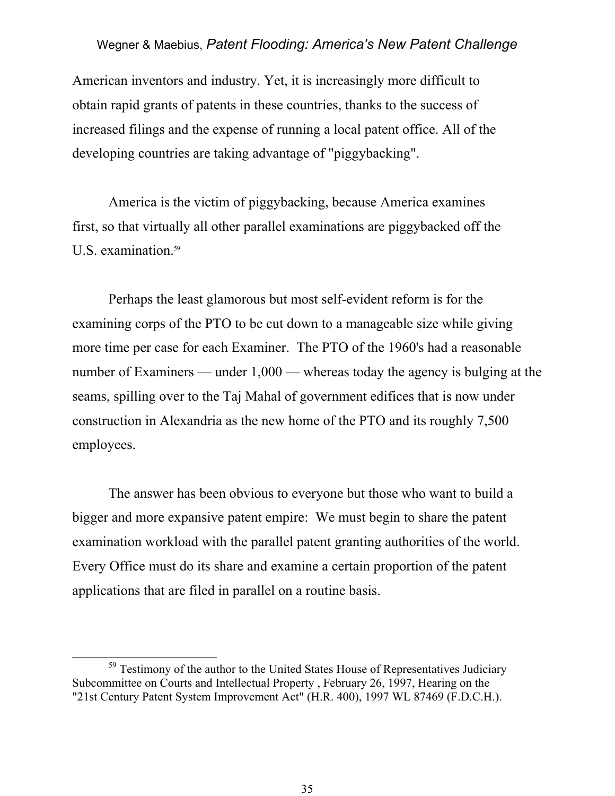American inventors and industry. Yet, it is increasingly more difficult to obtain rapid grants of patents in these countries, thanks to the success of increased filings and the expense of running a local patent office. All of the developing countries are taking advantage of "piggybacking".

 America is the victim of piggybacking, because America examines first, so that virtually all other parallel examinations are piggybacked off the U.S. examination.<sup>59</sup>

 Perhaps the least glamorous but most self-evident reform is for the examining corps of the PTO to be cut down to a manageable size while giving more time per case for each Examiner. The PTO of the 1960's had a reasonable number of Examiners — under 1,000 — whereas today the agency is bulging at the seams, spilling over to the Taj Mahal of government edifices that is now under construction in Alexandria as the new home of the PTO and its roughly 7,500 employees.

 The answer has been obvious to everyone but those who want to build a bigger and more expansive patent empire: We must begin to share the patent examination workload with the parallel patent granting authorities of the world. Every Office must do its share and examine a certain proportion of the patent applications that are filed in parallel on a routine basis.

<sup>&</sup>lt;sup>59</sup> Testimony of the author to the United States House of Representatives Judiciary Subcommittee on Courts and Intellectual Property , February 26, 1997, Hearing on the "21st Century Patent System Improvement Act" (H.R. 400), 1997 WL 87469 (F.D.C.H.).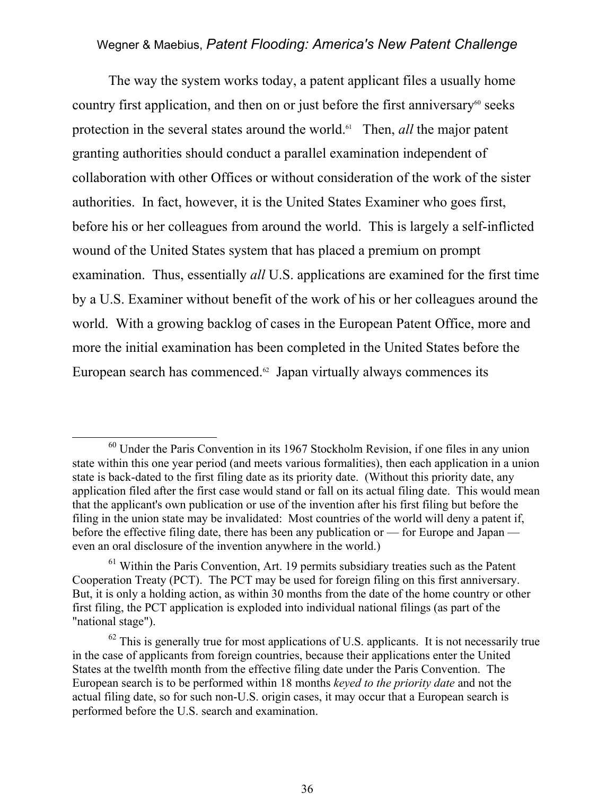The way the system works today, a patent applicant files a usually home country first application, and then on or just before the first anniversary<sup> $60$ </sup> seeks protection in the several states around the world.<sup>61</sup> Then, *all* the major patent granting authorities should conduct a parallel examination independent of collaboration with other Offices or without consideration of the work of the sister authorities. In fact, however, it is the United States Examiner who goes first, before his or her colleagues from around the world. This is largely a self-inflicted wound of the United States system that has placed a premium on prompt examination. Thus, essentially *all* U.S. applications are examined for the first time by a U.S. Examiner without benefit of the work of his or her colleagues around the world. With a growing backlog of cases in the European Patent Office, more and more the initial examination has been completed in the United States before the European search has commenced. $62$  Japan virtually always commences its

 <sup>60</sup> Under the Paris Convention in its 1967 Stockholm Revision, if one files in any union state within this one year period (and meets various formalities), then each application in a union state is back-dated to the first filing date as its priority date. (Without this priority date, any application filed after the first case would stand or fall on its actual filing date. This would mean that the applicant's own publication or use of the invention after his first filing but before the filing in the union state may be invalidated: Most countries of the world will deny a patent if, before the effective filing date, there has been any publication or — for Europe and Japan even an oral disclosure of the invention anywhere in the world.)

 $<sup>61</sup>$  Within the Paris Convention, Art. 19 permits subsidiary treaties such as the Patent</sup> Cooperation Treaty (PCT). The PCT may be used for foreign filing on this first anniversary. But, it is only a holding action, as within 30 months from the date of the home country or other first filing, the PCT application is exploded into individual national filings (as part of the "national stage").

 $62$  This is generally true for most applications of U.S. applicants. It is not necessarily true in the case of applicants from foreign countries, because their applications enter the United States at the twelfth month from the effective filing date under the Paris Convention. The European search is to be performed within 18 months *keyed to the priority date* and not the actual filing date, so for such non-U.S. origin cases, it may occur that a European search is performed before the U.S. search and examination.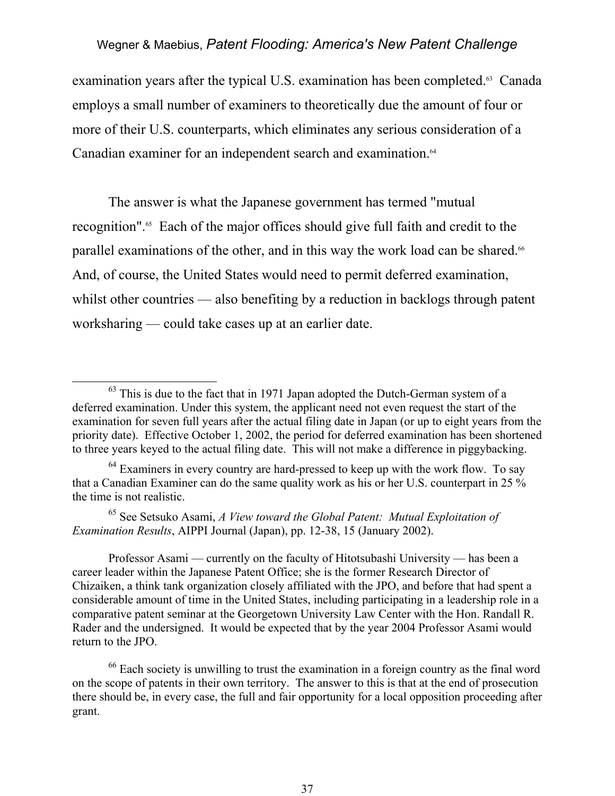examination years after the typical U.S. examination has been completed.<sup>63</sup> Canada employs a small number of examiners to theoretically due the amount of four or more of their U.S. counterparts, which eliminates any serious consideration of a Canadian examiner for an independent search and examination.<sup>64</sup>

 The answer is what the Japanese government has termed "mutual recognition".65 Each of the major offices should give full faith and credit to the parallel examinations of the other, and in this way the work load can be shared.<sup>66</sup> And, of course, the United States would need to permit deferred examination, whilst other countries — also benefiting by a reduction in backlogs through patent worksharing — could take cases up at an earlier date.

65 See Setsuko Asami, *A View toward the Global Patent: Mutual Exploitation of Examination Results*, AIPPI Journal (Japan), pp. 12-38, 15 (January 2002).

 Professor Asami — currently on the faculty of Hitotsubashi University — has been a career leader within the Japanese Patent Office; she is the former Research Director of Chizaiken, a think tank organization closely affiliated with the JPO, and before that had spent a considerable amount of time in the United States, including participating in a leadership role in a comparative patent seminar at the Georgetown University Law Center with the Hon. Randall R. Rader and the undersigned. It would be expected that by the year 2004 Professor Asami would return to the JPO.

<sup>66</sup> Each society is unwilling to trust the examination in a foreign country as the final word on the scope of patents in their own territory. The answer to this is that at the end of prosecution there should be, in every case, the full and fair opportunity for a local opposition proceeding after grant.

 $63$  This is due to the fact that in 1971 Japan adopted the Dutch-German system of a deferred examination. Under this system, the applicant need not even request the start of the examination for seven full years after the actual filing date in Japan (or up to eight years from the priority date). Effective October 1, 2002, the period for deferred examination has been shortened to three years keyed to the actual filing date. This will not make a difference in piggybacking.

 $64$  Examiners in every country are hard-pressed to keep up with the work flow. To say that a Canadian Examiner can do the same quality work as his or her U.S. counterpart in 25 % the time is not realistic.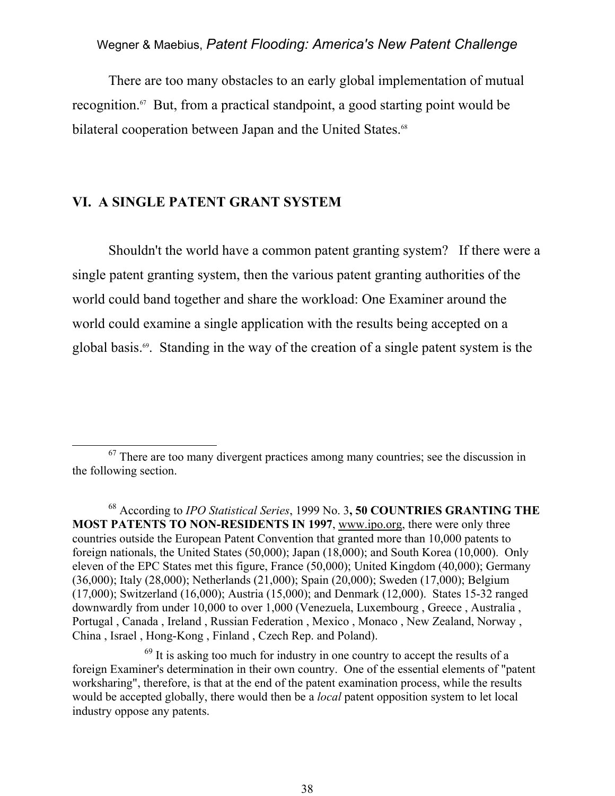There are too many obstacles to an early global implementation of mutual recognition.67 But, from a practical standpoint, a good starting point would be bilateral cooperation between Japan and the United States.<sup>68</sup>

#### **VI. A SINGLE PATENT GRANT SYSTEM**

 Shouldn't the world have a common patent granting system? If there were a single patent granting system, then the various patent granting authorities of the world could band together and share the workload: One Examiner around the world could examine a single application with the results being accepted on a global basis.69. Standing in the way of the creation of a single patent system is the

<sup>&</sup>lt;sup>67</sup> There are too many divergent practices among many countries; see the discussion in the following section.

<sup>68</sup> According to *IPO Statistical Series*, 1999 No. 3**, 50 COUNTRIES GRANTING THE MOST PATENTS TO NON-RESIDENTS IN 1997**, www.ipo.org, there were only three countries outside the European Patent Convention that granted more than 10,000 patents to foreign nationals, the United States (50,000); Japan (18,000); and South Korea (10,000). Only eleven of the EPC States met this figure, France (50,000); United Kingdom (40,000); Germany (36,000); Italy (28,000); Netherlands (21,000); Spain (20,000); Sweden (17,000); Belgium (17,000); Switzerland (16,000); Austria (15,000); and Denmark (12,000). States 15-32 ranged downwardly from under 10,000 to over 1,000 (Venezuela, Luxembourg , Greece , Australia , Portugal , Canada , Ireland , Russian Federation , Mexico , Monaco , New Zealand, Norway , China , Israel , Hong-Kong , Finland , Czech Rep. and Poland).

<sup>&</sup>lt;sup>69</sup> It is asking too much for industry in one country to accept the results of a foreign Examiner's determination in their own country. One of the essential elements of "patent worksharing", therefore, is that at the end of the patent examination process, while the results would be accepted globally, there would then be a *local* patent opposition system to let local industry oppose any patents.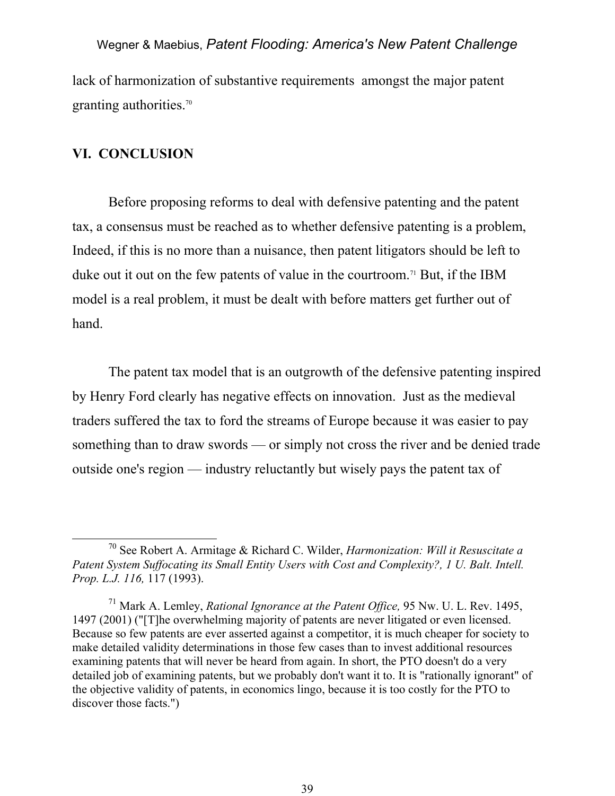lack of harmonization of substantive requirements amongst the major patent granting authorities.<sup>70</sup>

#### **VI. CONCLUSION**

Before proposing reforms to deal with defensive patenting and the patent tax, a consensus must be reached as to whether defensive patenting is a problem, Indeed, if this is no more than a nuisance, then patent litigators should be left to duke out it out on the few patents of value in the courtroom.71 But, if the IBM model is a real problem, it must be dealt with before matters get further out of hand.

The patent tax model that is an outgrowth of the defensive patenting inspired by Henry Ford clearly has negative effects on innovation. Just as the medieval traders suffered the tax to ford the streams of Europe because it was easier to pay something than to draw swords — or simply not cross the river and be denied trade outside one's region — industry reluctantly but wisely pays the patent tax of

 <sup>70</sup> See Robert A. Armitage & Richard C. Wilder, *Harmonization: Will it Resuscitate a Patent System Suffocating its Small Entity Users with Cost and Complexity?, 1 U. Balt. Intell. Prop. L.J. 116,* 117 (1993).

<sup>71</sup> Mark A. Lemley, *Rational Ignorance at the Patent Office,* 95 Nw. U. L. Rev. 1495, 1497 (2001) ("[T]he overwhelming majority of patents are never litigated or even licensed. Because so few patents are ever asserted against a competitor, it is much cheaper for society to make detailed validity determinations in those few cases than to invest additional resources examining patents that will never be heard from again. In short, the PTO doesn't do a very detailed job of examining patents, but we probably don't want it to. It is "rationally ignorant" of the objective validity of patents, in economics lingo, because it is too costly for the PTO to discover those facts.")